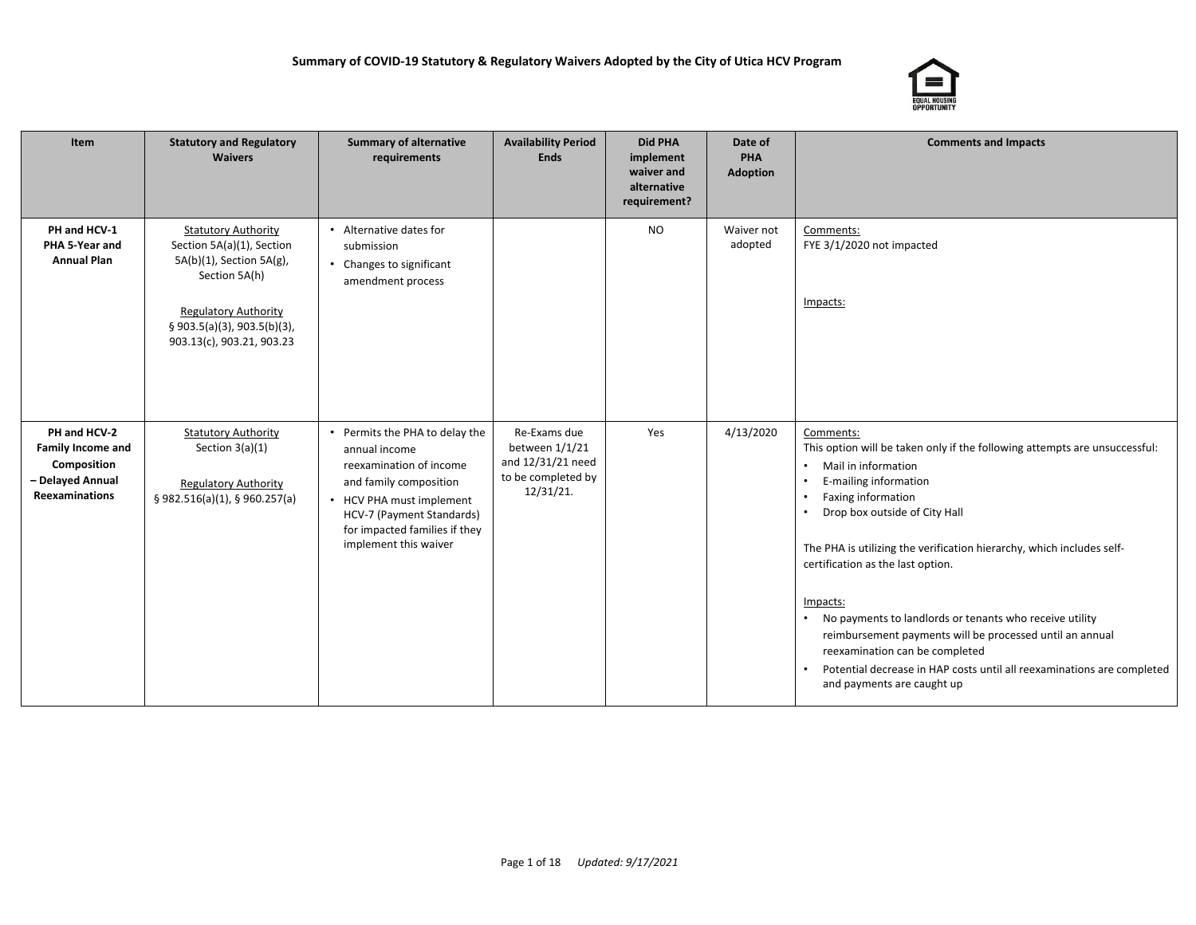

| Item                                                                                                 | <b>Statutory and Regulatory</b><br><b>Waivers</b>                                                                                                                                               | <b>Summary of alternative</b><br>requirements                                                                                                                                                                           | <b>Availability Period</b><br><b>Ends</b>                                              | <b>Did PHA</b><br>implement<br>waiver and<br>alternative<br>requirement? | Date of<br>PHA<br><b>Adoption</b> | <b>Comments and Impacts</b>                                                                                                                                                                                                                                                                                                                                                                                                                                                                                                                                                                                                |
|------------------------------------------------------------------------------------------------------|-------------------------------------------------------------------------------------------------------------------------------------------------------------------------------------------------|-------------------------------------------------------------------------------------------------------------------------------------------------------------------------------------------------------------------------|----------------------------------------------------------------------------------------|--------------------------------------------------------------------------|-----------------------------------|----------------------------------------------------------------------------------------------------------------------------------------------------------------------------------------------------------------------------------------------------------------------------------------------------------------------------------------------------------------------------------------------------------------------------------------------------------------------------------------------------------------------------------------------------------------------------------------------------------------------------|
| PH and HCV-1<br>PHA 5-Year and<br><b>Annual Plan</b>                                                 | <b>Statutory Authority</b><br>Section 5A(a)(1), Section<br>5A(b)(1), Section 5A(g),<br>Section 5A(h)<br><b>Regulatory Authority</b><br>§ 903.5(a)(3), 903.5(b)(3),<br>903.13(c), 903.21, 903.23 | • Alternative dates for<br>submission<br>• Changes to significant<br>amendment process                                                                                                                                  |                                                                                        | <b>NO</b>                                                                | Waiver not<br>adopted             | Comments:<br>FYE 3/1/2020 not impacted<br>Impacts:                                                                                                                                                                                                                                                                                                                                                                                                                                                                                                                                                                         |
| PH and HCV-2<br><b>Family Income and</b><br>Composition<br>- Delayed Annual<br><b>Reexaminations</b> | <b>Statutory Authority</b><br>Section $3(a)(1)$<br><b>Regulatory Authority</b><br>§ 982.516(a)(1), § 960.257(a)                                                                                 | • Permits the PHA to delay the<br>annual income<br>reexamination of income<br>and family composition<br>• HCV PHA must implement<br>HCV-7 (Payment Standards)<br>for impacted families if they<br>implement this waiver | Re-Exams due<br>between 1/1/21<br>and 12/31/21 need<br>to be completed by<br>12/31/21. | Yes                                                                      | 4/13/2020                         | Comments:<br>This option will be taken only if the following attempts are unsuccessful:<br>Mail in information<br>$\bullet$<br>E-mailing information<br><b>Faxing information</b><br>$\bullet$<br>Drop box outside of City Hall<br>The PHA is utilizing the verification hierarchy, which includes self-<br>certification as the last option.<br>Impacts:<br>No payments to landlords or tenants who receive utility<br>reimbursement payments will be processed until an annual<br>reexamination can be completed<br>Potential decrease in HAP costs until all reexaminations are completed<br>and payments are caught up |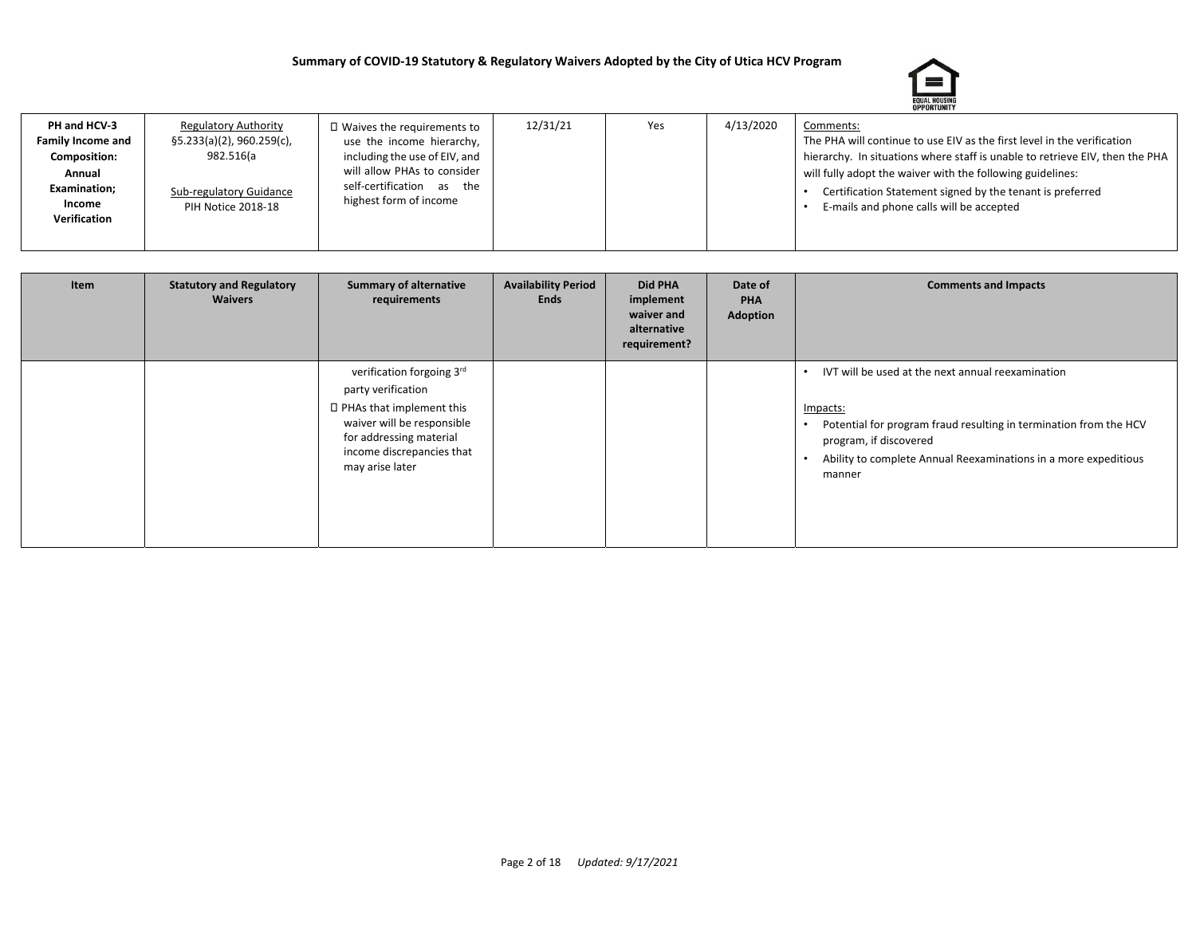

| PH and HCV-3        | <b>Regulatory Authority</b>   | $\Box$ Waives the requirements to | 12/31/21 | Yes | 4/13/2020 | Comments:                                                                    |
|---------------------|-------------------------------|-----------------------------------|----------|-----|-----------|------------------------------------------------------------------------------|
| Family Income and   | $\S5.233(a)(2)$ , 960.259(c), | use the income hierarchy,         |          |     |           | The PHA will continue to use EIV as the first level in the verification      |
| <b>Composition:</b> | 982.516(a                     | including the use of EIV, and     |          |     |           | hierarchy. In situations where staff is unable to retrieve EIV, then the PHA |
| Annual              |                               | will allow PHAs to consider       |          |     |           | will fully adopt the waiver with the following guidelines:                   |
| <b>Examination;</b> | Sub-regulatory Guidance       | self-certification as the         |          |     |           | Certification Statement signed by the tenant is preferred                    |
| Income              | PIH Notice 2018-18            | highest form of income            |          |     |           | E-mails and phone calls will be accepted                                     |
| Verification        |                               |                                   |          |     |           |                                                                              |
|                     |                               |                                   |          |     |           |                                                                              |

| Item | <b>Statutory and Regulatory</b><br><b>Waivers</b> | <b>Summary of alternative</b><br>requirements                                                                                                                                          | <b>Availability Period</b><br>Ends | Did PHA<br>implement<br>waiver and<br>alternative<br>requirement? | Date of<br>PHA<br>Adoption | <b>Comments and Impacts</b>                                                                                                                                                                                                               |
|------|---------------------------------------------------|----------------------------------------------------------------------------------------------------------------------------------------------------------------------------------------|------------------------------------|-------------------------------------------------------------------|----------------------------|-------------------------------------------------------------------------------------------------------------------------------------------------------------------------------------------------------------------------------------------|
|      |                                                   | verification forgoing 3rd<br>party verification<br>□ PHAs that implement this<br>waiver will be responsible<br>for addressing material<br>income discrepancies that<br>may arise later |                                    |                                                                   |                            | IVT will be used at the next annual reexamination<br>Impacts:<br>Potential for program fraud resulting in termination from the HCV<br>program, if discovered<br>Ability to complete Annual Reexaminations in a more expeditious<br>manner |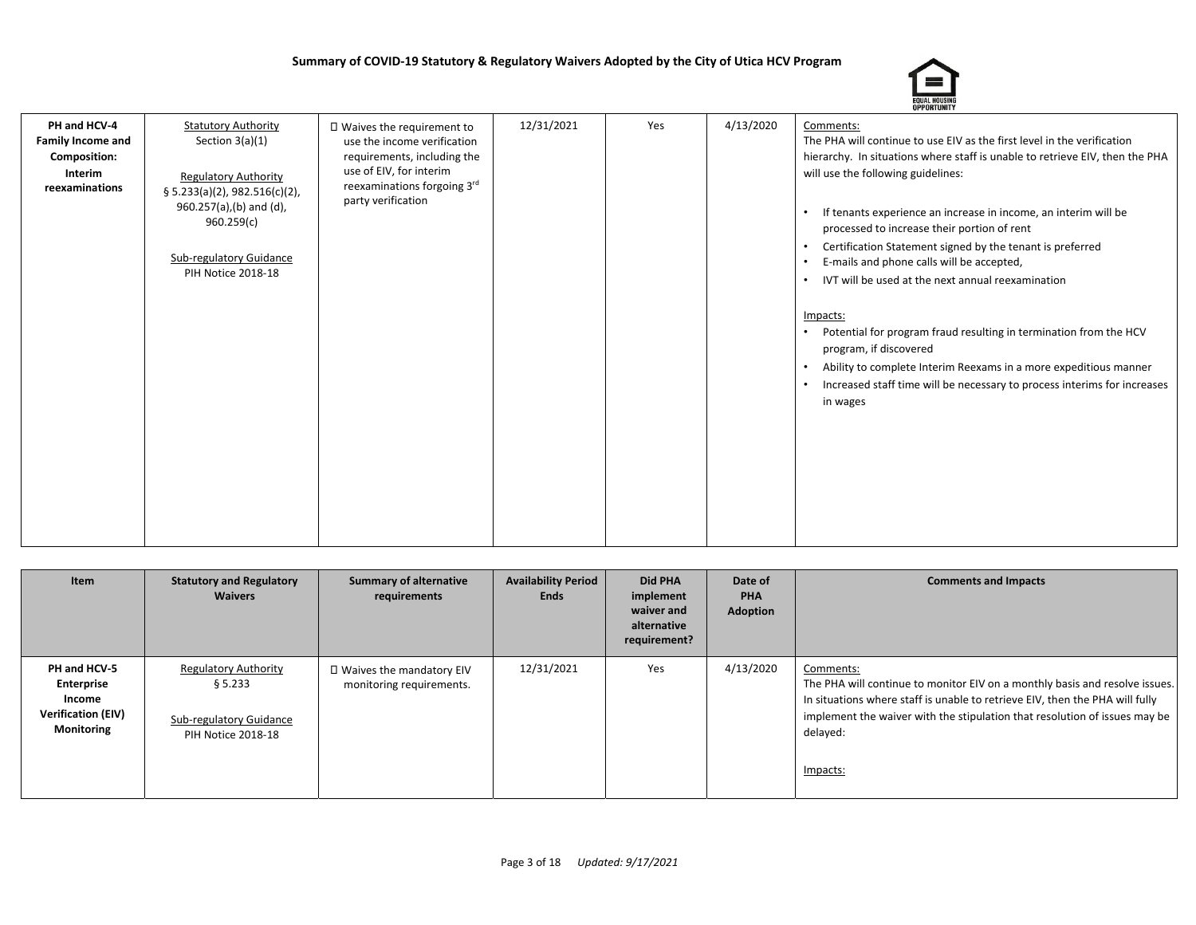

| PH and HCV-4<br><b>Family Income and</b><br>Composition:<br>Interim<br>reexaminations | <b>Statutory Authority</b><br>Section $3(a)(1)$<br><b>Regulatory Authority</b><br>§ 5.233(a)(2), 982.516(c)(2),<br>960.257(a),(b) and (d),<br>960.259(c)<br><b>Sub-regulatory Guidance</b><br>PIH Notice 2018-18 | □ Waives the requirement to<br>use the income verification<br>requirements, including the<br>use of EIV, for interim<br>reexaminations forgoing 3rd<br>party verification | 12/31/2021 | Yes | 4/13/2020 | Comments:<br>The PHA will continue to use EIV as the first level in the verification<br>hierarchy. In situations where staff is unable to retrieve EIV, then the PHA<br>will use the following guidelines:<br>If tenants experience an increase in income, an interim will be<br>processed to increase their portion of rent<br>Certification Statement signed by the tenant is preferred<br>$\bullet$<br>E-mails and phone calls will be accepted,<br>IVT will be used at the next annual reexamination |
|---------------------------------------------------------------------------------------|------------------------------------------------------------------------------------------------------------------------------------------------------------------------------------------------------------------|---------------------------------------------------------------------------------------------------------------------------------------------------------------------------|------------|-----|-----------|----------------------------------------------------------------------------------------------------------------------------------------------------------------------------------------------------------------------------------------------------------------------------------------------------------------------------------------------------------------------------------------------------------------------------------------------------------------------------------------------------------|
|                                                                                       |                                                                                                                                                                                                                  |                                                                                                                                                                           |            |     |           | Impacts:<br>Potential for program fraud resulting in termination from the HCV<br>program, if discovered<br>Ability to complete Interim Reexams in a more expeditious manner<br>$\bullet$<br>Increased staff time will be necessary to process interims for increases<br>$\bullet$<br>in wages                                                                                                                                                                                                            |

| Item                                                                            | <b>Statutory and Regulatory</b><br><b>Waivers</b>                                       | <b>Summary of alternative</b><br>requirements          | <b>Availability Period</b><br><b>Ends</b> | Did PHA<br>implement<br>waiver and<br>alternative<br>requirement? | Date of<br><b>PHA</b><br><b>Adoption</b> | <b>Comments and Impacts</b>                                                                                                                                                                                                                                                    |
|---------------------------------------------------------------------------------|-----------------------------------------------------------------------------------------|--------------------------------------------------------|-------------------------------------------|-------------------------------------------------------------------|------------------------------------------|--------------------------------------------------------------------------------------------------------------------------------------------------------------------------------------------------------------------------------------------------------------------------------|
| PH and HCV-5<br>Enterprise<br>Income<br><b>Verification (EIV)</b><br>Monitoring | <b>Regulatory Authority</b><br>§ 5.233<br>Sub-regulatory Guidance<br>PIH Notice 2018-18 | □ Waives the mandatory EIV<br>monitoring requirements. | 12/31/2021                                | Yes                                                               | 4/13/2020                                | Comments:<br>The PHA will continue to monitor EIV on a monthly basis and resolve issues.<br>In situations where staff is unable to retrieve EIV, then the PHA will fully<br>implement the waiver with the stipulation that resolution of issues may be<br>delayed:<br>Impacts: |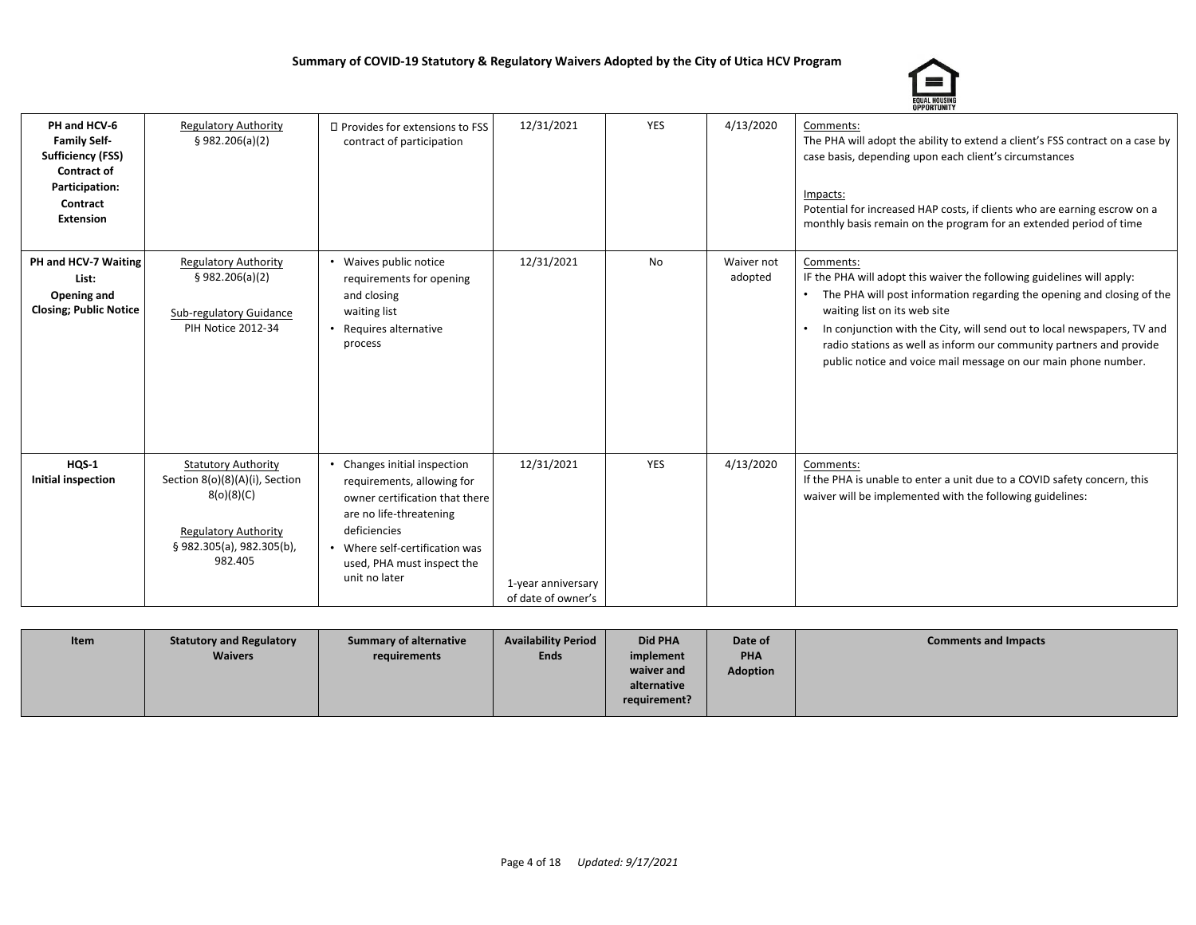

| PH and HCV-6<br><b>Family Self-</b><br><b>Sufficiency (FSS)</b><br><b>Contract of</b><br>Participation:<br>Contract<br><b>Extension</b> | <b>Regulatory Authority</b><br>\$982.206(a)(2)                                                                                                   | □ Provides for extensions to FSS<br>contract of participation                                                                                                                                                        | 12/31/2021                                             | <b>YES</b> | 4/13/2020             | Comments:<br>The PHA will adopt the ability to extend a client's FSS contract on a case by<br>case basis, depending upon each client's circumstances<br>Impacts:<br>Potential for increased HAP costs, if clients who are earning escrow on a<br>monthly basis remain on the program for an extended period of time                                                                                               |
|-----------------------------------------------------------------------------------------------------------------------------------------|--------------------------------------------------------------------------------------------------------------------------------------------------|----------------------------------------------------------------------------------------------------------------------------------------------------------------------------------------------------------------------|--------------------------------------------------------|------------|-----------------------|-------------------------------------------------------------------------------------------------------------------------------------------------------------------------------------------------------------------------------------------------------------------------------------------------------------------------------------------------------------------------------------------------------------------|
| PH and HCV-7 Waiting<br>List:<br>Opening and<br><b>Closing; Public Notice</b>                                                           | <b>Regulatory Authority</b><br>\$982.206(a)(2)<br>Sub-regulatory Guidance<br><b>PIH Notice 2012-34</b>                                           | Waives public notice<br>requirements for opening<br>and closing<br>waiting list<br>Requires alternative<br>process                                                                                                   | 12/31/2021                                             | <b>No</b>  | Waiver not<br>adopted | Comments:<br>IF the PHA will adopt this waiver the following guidelines will apply:<br>The PHA will post information regarding the opening and closing of the<br>waiting list on its web site<br>In conjunction with the City, will send out to local newspapers, TV and<br>radio stations as well as inform our community partners and provide<br>public notice and voice mail message on our main phone number. |
| HQS-1<br>Initial inspection                                                                                                             | <b>Statutory Authority</b><br>Section 8(o)(8)(A)(i), Section<br>8(o)(8)(C)<br><b>Regulatory Authority</b><br>§982.305(a), 982.305(b),<br>982.405 | Changes initial inspection<br>requirements, allowing for<br>owner certification that there<br>are no life-threatening<br>deficiencies<br>Where self-certification was<br>used, PHA must inspect the<br>unit no later | 12/31/2021<br>1-year anniversary<br>of date of owner's | <b>YES</b> | 4/13/2020             | Comments:<br>If the PHA is unable to enter a unit due to a COVID safety concern, this<br>waiver will be implemented with the following guidelines:                                                                                                                                                                                                                                                                |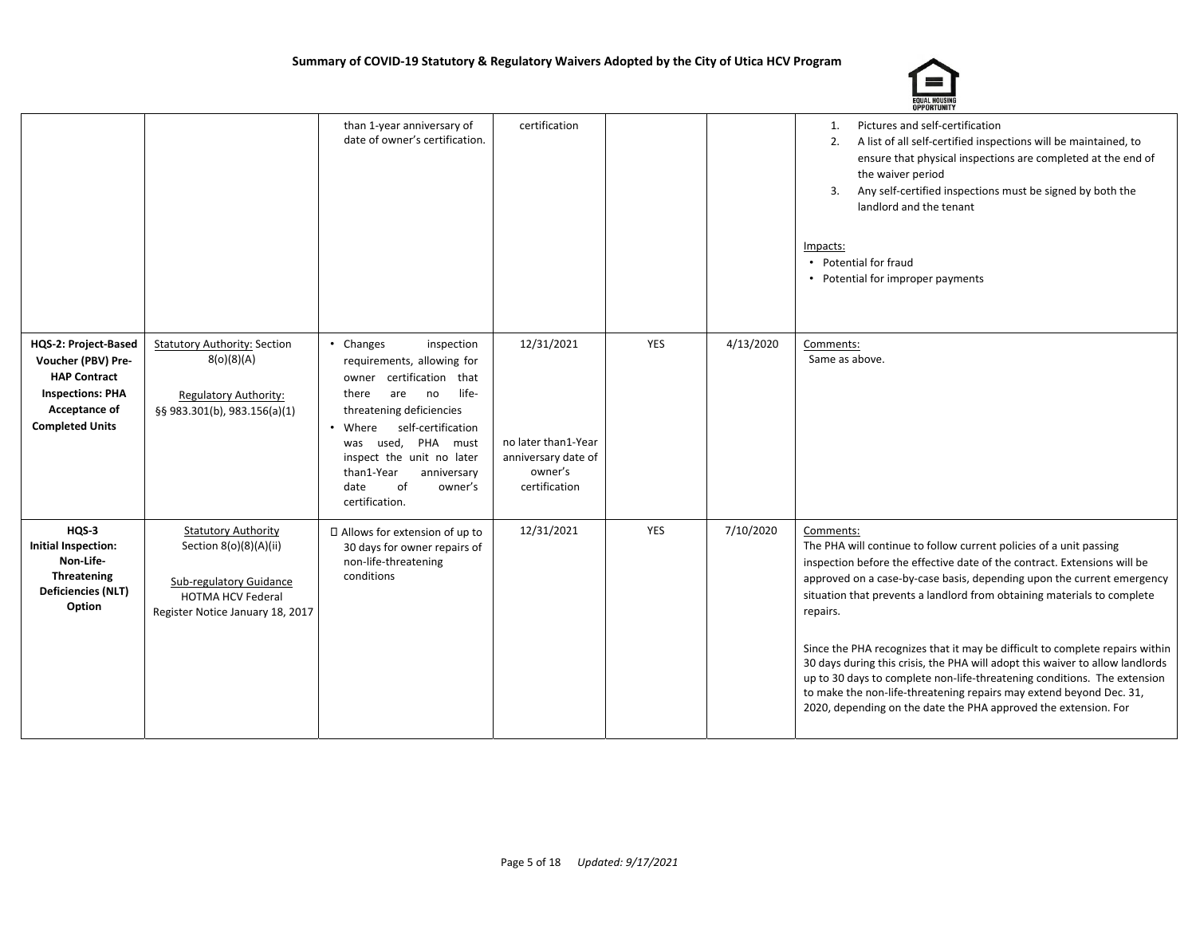

|                                                                                                                                         |                                                                                                                                                 | than 1-year anniversary of<br>date of owner's certification.                                                                                                                                                                                                                                              | certification                                                                        |            |           | Pictures and self-certification<br>1.<br>A list of all self-certified inspections will be maintained, to<br>2.<br>ensure that physical inspections are completed at the end of<br>the waiver period<br>Any self-certified inspections must be signed by both the<br>3.<br>landlord and the tenant<br>Impacts:<br>• Potential for fraud<br>• Potential for improper payments                                                                                                                                                                                                                                                                                                                                         |
|-----------------------------------------------------------------------------------------------------------------------------------------|-------------------------------------------------------------------------------------------------------------------------------------------------|-----------------------------------------------------------------------------------------------------------------------------------------------------------------------------------------------------------------------------------------------------------------------------------------------------------|--------------------------------------------------------------------------------------|------------|-----------|---------------------------------------------------------------------------------------------------------------------------------------------------------------------------------------------------------------------------------------------------------------------------------------------------------------------------------------------------------------------------------------------------------------------------------------------------------------------------------------------------------------------------------------------------------------------------------------------------------------------------------------------------------------------------------------------------------------------|
| HQS-2: Project-Based<br>Voucher (PBV) Pre-<br><b>HAP Contract</b><br><b>Inspections: PHA</b><br>Acceptance of<br><b>Completed Units</b> | <b>Statutory Authority: Section</b><br>8(o)(8)(A)<br><b>Regulatory Authority:</b><br>§§ 983.301(b), 983.156(a)(1)                               | • Changes<br>inspection<br>requirements, allowing for<br>owner certification that<br>life-<br>there<br>are<br>no<br>threatening deficiencies<br>self-certification<br>Where<br>used, PHA must<br>was<br>inspect the unit no later<br>than1-Year<br>anniversary<br>of<br>date<br>owner's<br>certification. | 12/31/2021<br>no later than1-Year<br>anniversary date of<br>owner's<br>certification | YES        | 4/13/2020 | Comments:<br>Same as above.                                                                                                                                                                                                                                                                                                                                                                                                                                                                                                                                                                                                                                                                                         |
| $HQS-3$<br>Initial Inspection:<br>Non-Life-<br>Threatening<br><b>Deficiencies (NLT)</b><br>Option                                       | <b>Statutory Authority</b><br>Section 8(o)(8)(A)(ii)<br>Sub-regulatory Guidance<br><b>HOTMA HCV Federal</b><br>Register Notice January 18, 2017 | □ Allows for extension of up to<br>30 days for owner repairs of<br>non-life-threatening<br>conditions                                                                                                                                                                                                     | 12/31/2021                                                                           | <b>YES</b> | 7/10/2020 | Comments:<br>The PHA will continue to follow current policies of a unit passing<br>inspection before the effective date of the contract. Extensions will be<br>approved on a case-by-case basis, depending upon the current emergency<br>situation that prevents a landlord from obtaining materials to complete<br>repairs.<br>Since the PHA recognizes that it may be difficult to complete repairs within<br>30 days during this crisis, the PHA will adopt this waiver to allow landlords<br>up to 30 days to complete non-life-threatening conditions. The extension<br>to make the non-life-threatening repairs may extend beyond Dec. 31,<br>2020, depending on the date the PHA approved the extension. For |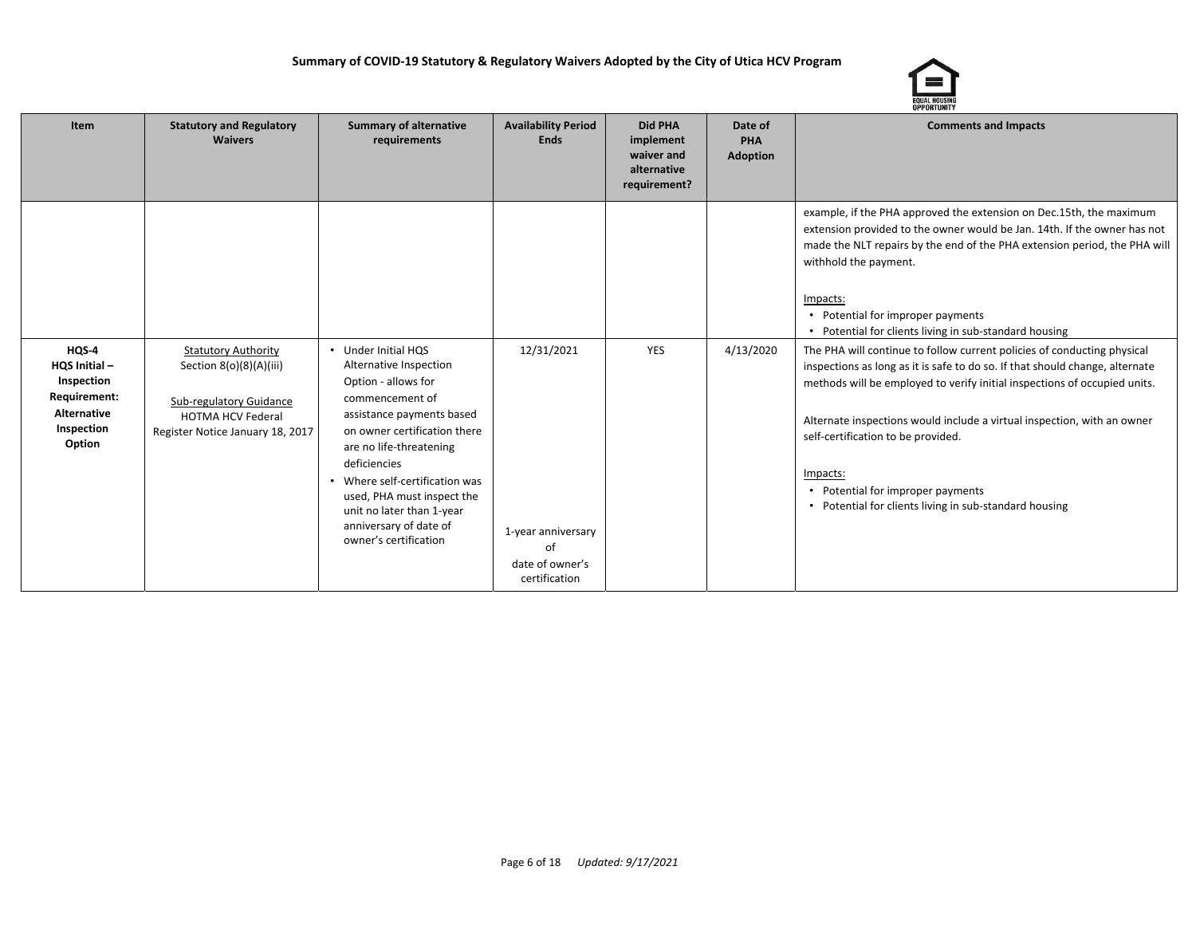

| Item                                                                                                         | <b>Statutory and Regulatory</b><br><b>Waivers</b>                                                                                                | <b>Summary of alternative</b><br>requirements                                                                                                                                                                                                                                                                                                   | <b>Availability Period</b><br><b>Ends</b>                                  | <b>Did PHA</b><br>implement<br>waiver and<br>alternative<br>requirement? | Date of<br>PHA<br><b>Adoption</b> | <b>Comments and Impacts</b>                                                                                                                                                                                                                                                                                                                                                                                                                                      |
|--------------------------------------------------------------------------------------------------------------|--------------------------------------------------------------------------------------------------------------------------------------------------|-------------------------------------------------------------------------------------------------------------------------------------------------------------------------------------------------------------------------------------------------------------------------------------------------------------------------------------------------|----------------------------------------------------------------------------|--------------------------------------------------------------------------|-----------------------------------|------------------------------------------------------------------------------------------------------------------------------------------------------------------------------------------------------------------------------------------------------------------------------------------------------------------------------------------------------------------------------------------------------------------------------------------------------------------|
|                                                                                                              |                                                                                                                                                  |                                                                                                                                                                                                                                                                                                                                                 |                                                                            |                                                                          |                                   | example, if the PHA approved the extension on Dec.15th, the maximum<br>extension provided to the owner would be Jan. 14th. If the owner has not<br>made the NLT repairs by the end of the PHA extension period, the PHA will<br>withhold the payment.<br>Impacts:<br>• Potential for improper payments<br>• Potential for clients living in sub-standard housing                                                                                                 |
| HQS <sub>4</sub><br>HQS Initial-<br>Inspection<br>Requirement:<br><b>Alternative</b><br>Inspection<br>Option | <b>Statutory Authority</b><br>Section 8(o)(8)(A)(iii)<br>Sub-regulatory Guidance<br><b>HOTMA HCV Federal</b><br>Register Notice January 18, 2017 | • Under Initial HQS<br>Alternative Inspection<br>Option - allows for<br>commencement of<br>assistance payments based<br>on owner certification there<br>are no life-threatening<br>deficiencies<br>• Where self-certification was<br>used, PHA must inspect the<br>unit no later than 1-year<br>anniversary of date of<br>owner's certification | 12/31/2021<br>1-year anniversary<br>of<br>date of owner's<br>certification | <b>YES</b>                                                               | 4/13/2020                         | The PHA will continue to follow current policies of conducting physical<br>inspections as long as it is safe to do so. If that should change, alternate<br>methods will be employed to verify initial inspections of occupied units.<br>Alternate inspections would include a virtual inspection, with an owner<br>self-certification to be provided.<br>Impacts:<br>• Potential for improper payments<br>• Potential for clients living in sub-standard housing |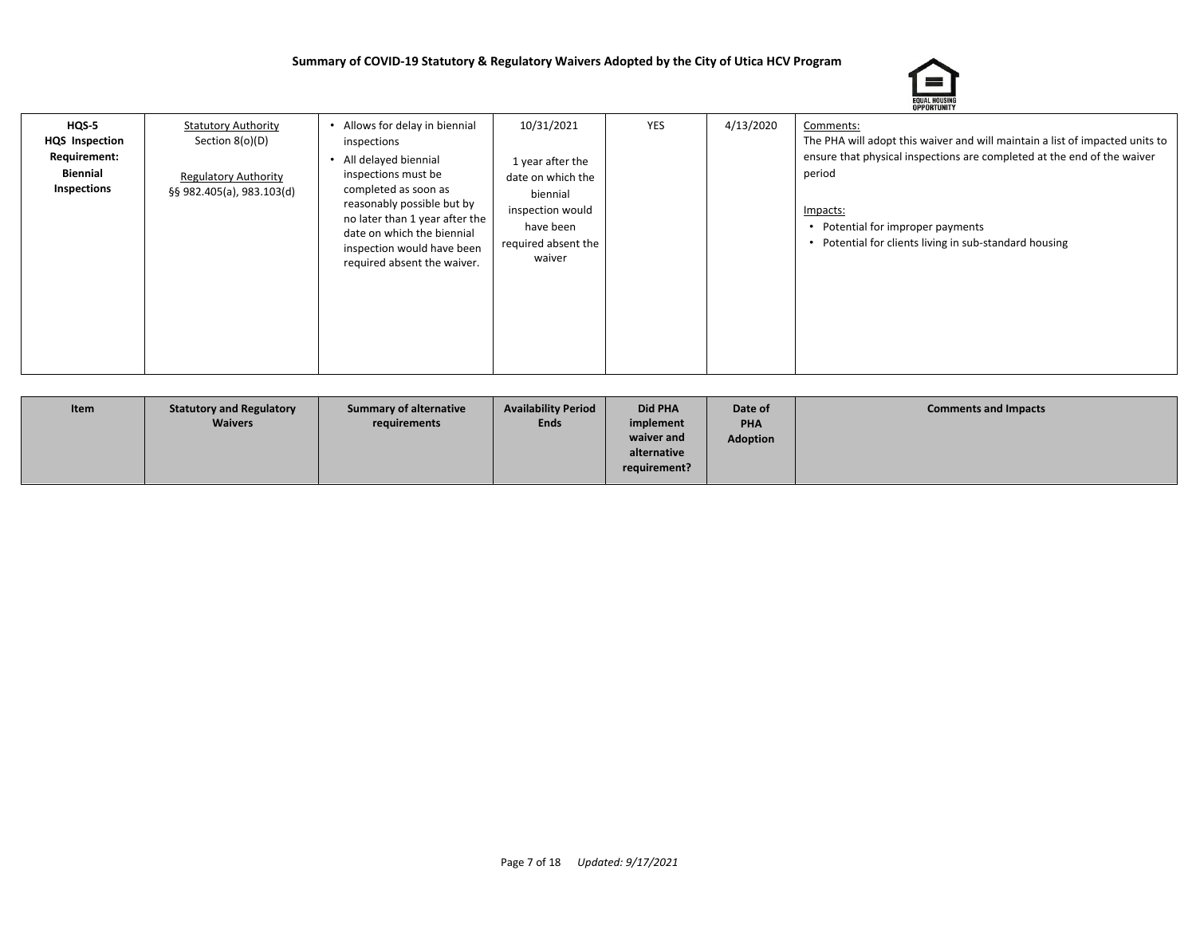

| $HQS-5$<br><b>HQS</b> Inspection<br>Requirement:<br>Biennial<br>Inspections | <b>Statutory Authority</b><br>Section 8(o)(D)<br><b>Regulatory Authority</b><br>§§ 982.405(a), 983.103(d) | Allows for delay in biennial<br>inspections<br>All delayed biennial<br>inspections must be<br>completed as soon as<br>reasonably possible but by<br>no later than 1 year after the<br>date on which the biennial<br>inspection would have been<br>required absent the waiver. | 10/31/2021<br>1 year after the<br>date on which the<br>biennial<br>inspection would<br>have been<br>required absent the<br>waiver | <b>YES</b> | 4/13/2020 | Comments:<br>The PHA will adopt this waiver and will maintain a list of impacted units to<br>ensure that physical inspections are completed at the end of the waiver<br>period<br>Impacts:<br>• Potential for improper payments<br>• Potential for clients living in sub-standard housing |
|-----------------------------------------------------------------------------|-----------------------------------------------------------------------------------------------------------|-------------------------------------------------------------------------------------------------------------------------------------------------------------------------------------------------------------------------------------------------------------------------------|-----------------------------------------------------------------------------------------------------------------------------------|------------|-----------|-------------------------------------------------------------------------------------------------------------------------------------------------------------------------------------------------------------------------------------------------------------------------------------------|
|-----------------------------------------------------------------------------|-----------------------------------------------------------------------------------------------------------|-------------------------------------------------------------------------------------------------------------------------------------------------------------------------------------------------------------------------------------------------------------------------------|-----------------------------------------------------------------------------------------------------------------------------------|------------|-----------|-------------------------------------------------------------------------------------------------------------------------------------------------------------------------------------------------------------------------------------------------------------------------------------------|

| Item | <b>Statutory and Regulatory</b><br><b>Waivers</b> | <b>Summary of alternative</b><br>requirements | <b>Availability Period</b><br><b>Ends</b> | Did PHA<br>implement | Date of<br>PHA  | <b>Comments and Impacts</b> |
|------|---------------------------------------------------|-----------------------------------------------|-------------------------------------------|----------------------|-----------------|-----------------------------|
|      |                                                   |                                               |                                           |                      |                 |                             |
|      |                                                   |                                               |                                           | waiver and           | <b>Adoption</b> |                             |
|      |                                                   |                                               |                                           | alternative          |                 |                             |
|      |                                                   |                                               |                                           | requirement?         |                 |                             |
|      |                                                   |                                               |                                           |                      |                 |                             |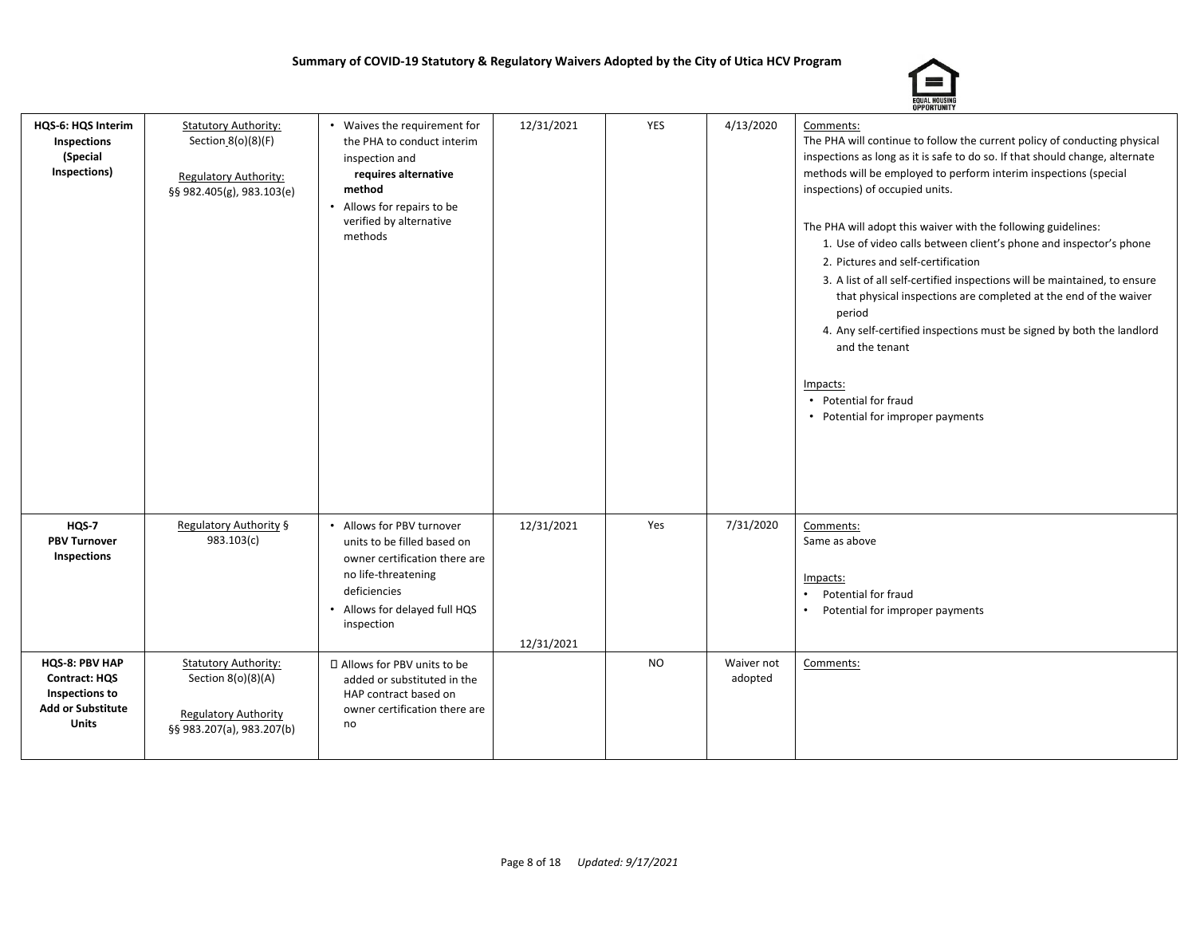

| HQS-6: HQS Interim<br>Inspections<br>(Special<br>Inspections)                                        | <b>Statutory Authority:</b><br>Section 8(o)(8)(F)<br>Regulatory Authority:<br>§§ 982.405(g), 983.103(e)       | • Waives the requirement for<br>the PHA to conduct interim<br>inspection and<br>requires alternative<br>method<br>Allows for repairs to be<br>verified by alternative<br>methods | 12/31/2021               | YES       | 4/13/2020             | Comments:<br>The PHA will continue to follow the current policy of conducting physical<br>inspections as long as it is safe to do so. If that should change, alternate<br>methods will be employed to perform interim inspections (special<br>inspections) of occupied units.<br>The PHA will adopt this waiver with the following guidelines:<br>1. Use of video calls between client's phone and inspector's phone<br>2. Pictures and self-certification<br>3. A list of all self-certified inspections will be maintained, to ensure<br>that physical inspections are completed at the end of the waiver<br>period<br>4. Any self-certified inspections must be signed by both the landlord<br>and the tenant<br>Impacts:<br>• Potential for fraud<br>• Potential for improper payments |
|------------------------------------------------------------------------------------------------------|---------------------------------------------------------------------------------------------------------------|----------------------------------------------------------------------------------------------------------------------------------------------------------------------------------|--------------------------|-----------|-----------------------|--------------------------------------------------------------------------------------------------------------------------------------------------------------------------------------------------------------------------------------------------------------------------------------------------------------------------------------------------------------------------------------------------------------------------------------------------------------------------------------------------------------------------------------------------------------------------------------------------------------------------------------------------------------------------------------------------------------------------------------------------------------------------------------------|
| HQS-7<br><b>PBV Turnover</b><br>Inspections                                                          | Regulatory Authority §<br>983.103(c)                                                                          | • Allows for PBV turnover<br>units to be filled based on<br>owner certification there are<br>no life-threatening<br>deficiencies<br>Allows for delayed full HQS<br>inspection    | 12/31/2021<br>12/31/2021 | Yes       | 7/31/2020             | Comments:<br>Same as above<br>Impacts:<br>Potential for fraud<br>Potential for improper payments                                                                                                                                                                                                                                                                                                                                                                                                                                                                                                                                                                                                                                                                                           |
| HQS-8: PBV HAP<br><b>Contract: HQS</b><br>Inspections to<br><b>Add or Substitute</b><br><b>Units</b> | <b>Statutory Authority:</b><br>Section 8(o)(8)(A)<br><b>Regulatory Authority</b><br>§§ 983.207(a), 983.207(b) | □ Allows for PBV units to be<br>added or substituted in the<br>HAP contract based on<br>owner certification there are<br>no                                                      |                          | <b>NO</b> | Waiver not<br>adopted | Comments:                                                                                                                                                                                                                                                                                                                                                                                                                                                                                                                                                                                                                                                                                                                                                                                  |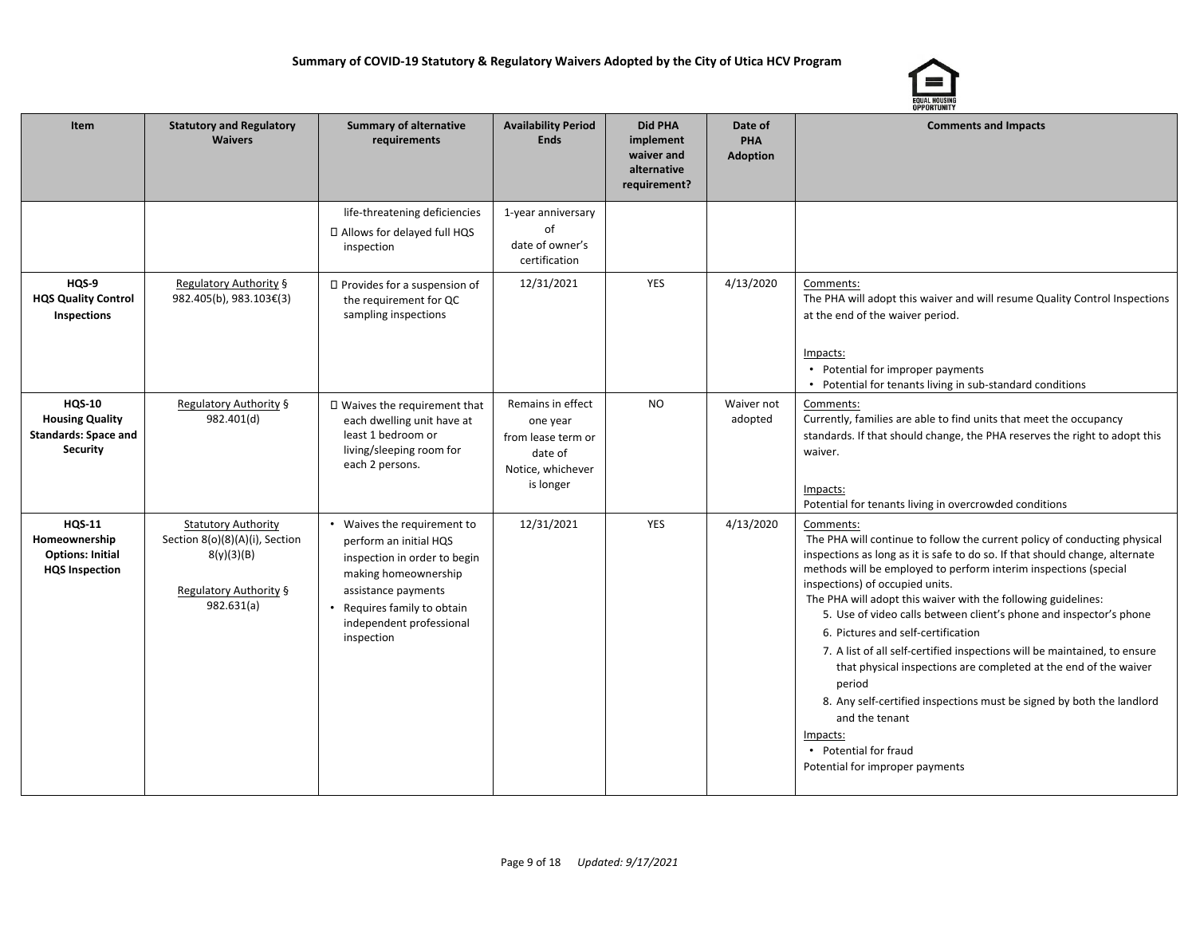

| Item                                                                                      | <b>Statutory and Regulatory</b><br><b>Waivers</b>                                                                  | <b>Summary of alternative</b><br>requirements                                                                                                                                                                 | <b>Availability Period</b><br><b>Ends</b>                                                        | Did PHA<br>implement<br>waiver and<br>alternative<br>requirement? | Date of<br>PHA<br><b>Adoption</b> | <b>Comments and Impacts</b>                                                                                                                                                                                                                                                                                                                                                                                                                                                                                                                                                                                                                                                                                                                                                              |
|-------------------------------------------------------------------------------------------|--------------------------------------------------------------------------------------------------------------------|---------------------------------------------------------------------------------------------------------------------------------------------------------------------------------------------------------------|--------------------------------------------------------------------------------------------------|-------------------------------------------------------------------|-----------------------------------|------------------------------------------------------------------------------------------------------------------------------------------------------------------------------------------------------------------------------------------------------------------------------------------------------------------------------------------------------------------------------------------------------------------------------------------------------------------------------------------------------------------------------------------------------------------------------------------------------------------------------------------------------------------------------------------------------------------------------------------------------------------------------------------|
|                                                                                           |                                                                                                                    | life-threatening deficiencies<br>□ Allows for delayed full HQS<br>inspection                                                                                                                                  | 1-year anniversary<br>of<br>date of owner's<br>certification                                     |                                                                   |                                   |                                                                                                                                                                                                                                                                                                                                                                                                                                                                                                                                                                                                                                                                                                                                                                                          |
| HQS-9<br><b>HQS Quality Control</b><br>Inspections                                        | Regulatory Authority §<br>982.405(b), 983.103€(3)                                                                  | $\Box$ Provides for a suspension of<br>the requirement for QC<br>sampling inspections                                                                                                                         | 12/31/2021                                                                                       | <b>YES</b>                                                        | 4/13/2020                         | Comments:<br>The PHA will adopt this waiver and will resume Quality Control Inspections<br>at the end of the waiver period.<br>Impacts:<br>• Potential for improper payments<br>• Potential for tenants living in sub-standard conditions                                                                                                                                                                                                                                                                                                                                                                                                                                                                                                                                                |
| <b>HQS-10</b><br><b>Housing Quality</b><br><b>Standards: Space and</b><br><b>Security</b> | Regulatory Authority §<br>982.401(d)                                                                               | □ Waives the requirement that<br>each dwelling unit have at<br>least 1 bedroom or<br>living/sleeping room for<br>each 2 persons.                                                                              | Remains in effect<br>one year<br>from lease term or<br>date of<br>Notice, whichever<br>is longer | <b>NO</b>                                                         | Waiver not<br>adopted             | Comments:<br>Currently, families are able to find units that meet the occupancy<br>standards. If that should change, the PHA reserves the right to adopt this<br>waiver.<br>Impacts:<br>Potential for tenants living in overcrowded conditions                                                                                                                                                                                                                                                                                                                                                                                                                                                                                                                                           |
| <b>HQS-11</b><br>Homeownership<br><b>Options: Initial</b><br><b>HQS Inspection</b>        | <b>Statutory Authority</b><br>Section 8(o)(8)(A)(i), Section<br>8(y)(3)(B)<br>Regulatory Authority §<br>982.631(a) | • Waives the requirement to<br>perform an initial HQS<br>inspection in order to begin<br>making homeownership<br>assistance payments<br>• Requires family to obtain<br>independent professional<br>inspection | 12/31/2021                                                                                       | <b>YES</b>                                                        | 4/13/2020                         | Comments:<br>The PHA will continue to follow the current policy of conducting physical<br>inspections as long as it is safe to do so. If that should change, alternate<br>methods will be employed to perform interim inspections (special<br>inspections) of occupied units.<br>The PHA will adopt this waiver with the following guidelines:<br>5. Use of video calls between client's phone and inspector's phone<br>6. Pictures and self-certification<br>7. A list of all self-certified inspections will be maintained, to ensure<br>that physical inspections are completed at the end of the waiver<br>period<br>8. Any self-certified inspections must be signed by both the landlord<br>and the tenant<br>Impacts:<br>• Potential for fraud<br>Potential for improper payments |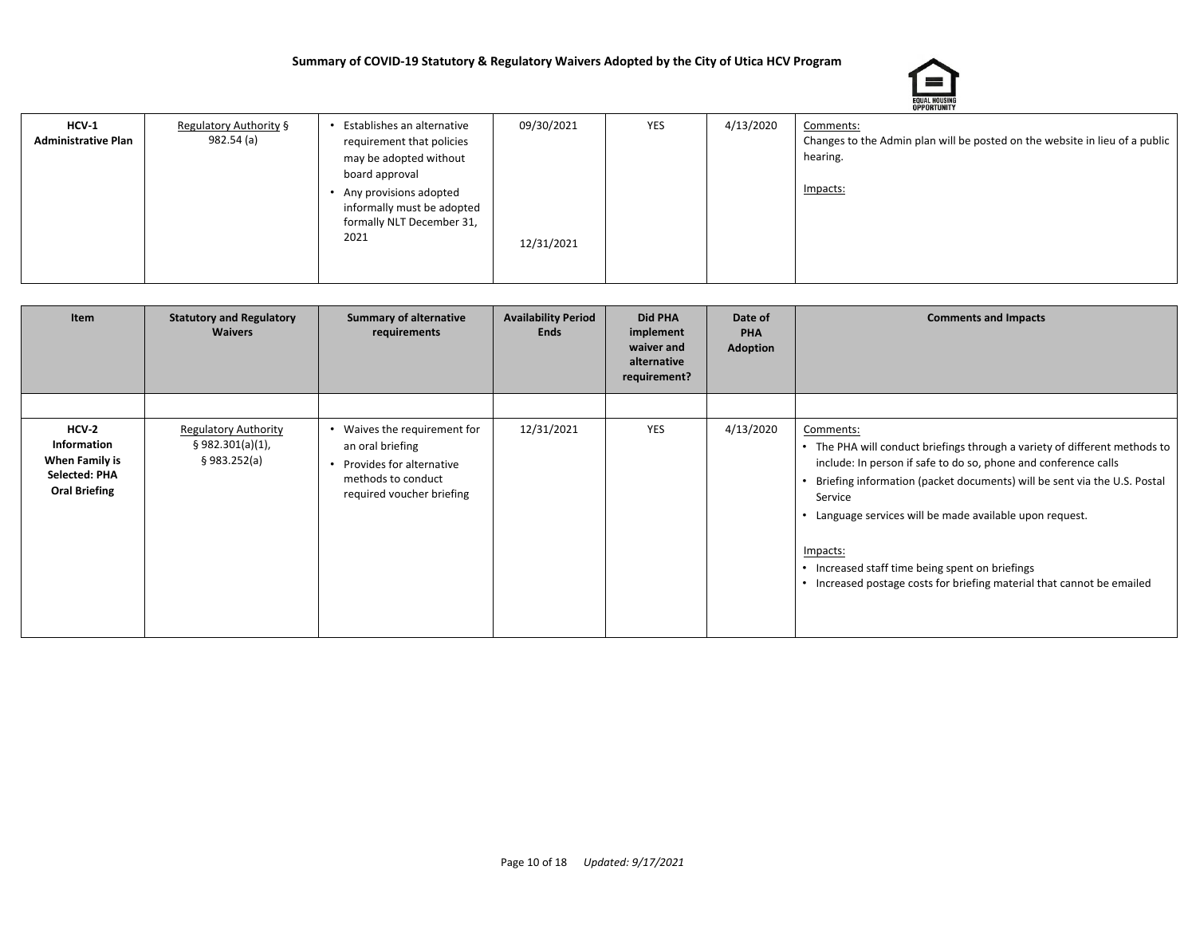

| 4/13/2020<br>09/30/2021<br>YES<br>Establishes an alternative<br>$HCV-1$<br>Regulatory Authority §<br>Comments:<br>982.54 (a)<br>Changes to the Admin plan will be posted on the website in lieu of a public<br><b>Administrative Plan</b><br>requirement that policies<br>hearing.<br>may be adopted without<br>board approval<br>Impacts:<br>Any provisions adopted<br>informally must be adopted<br>formally NLT December 31,<br>2021<br>12/31/2021 |
|-------------------------------------------------------------------------------------------------------------------------------------------------------------------------------------------------------------------------------------------------------------------------------------------------------------------------------------------------------------------------------------------------------------------------------------------------------|
|                                                                                                                                                                                                                                                                                                                                                                                                                                                       |

| Item                                                                              | <b>Statutory and Regulatory</b><br><b>Waivers</b>               | <b>Summary of alternative</b><br>requirements                                                                                 | <b>Availability Period</b><br><b>Ends</b> | <b>Did PHA</b><br>implement<br>waiver and<br>alternative<br>requirement? | Date of<br><b>PHA</b><br><b>Adoption</b> | <b>Comments and Impacts</b>                                                                                                                                                                                                                                                                                                                                                                                                                            |
|-----------------------------------------------------------------------------------|-----------------------------------------------------------------|-------------------------------------------------------------------------------------------------------------------------------|-------------------------------------------|--------------------------------------------------------------------------|------------------------------------------|--------------------------------------------------------------------------------------------------------------------------------------------------------------------------------------------------------------------------------------------------------------------------------------------------------------------------------------------------------------------------------------------------------------------------------------------------------|
|                                                                                   |                                                                 |                                                                                                                               |                                           |                                                                          |                                          |                                                                                                                                                                                                                                                                                                                                                                                                                                                        |
| $HCV-2$<br>Information<br>When Family is<br>Selected: PHA<br><b>Oral Briefing</b> | <b>Regulatory Authority</b><br>§ 982.301(a)(1),<br>\$983.252(a) | Waives the requirement for<br>an oral briefing<br>Provides for alternative<br>methods to conduct<br>required voucher briefing | 12/31/2021                                | <b>YES</b>                                                               | 4/13/2020                                | Comments:<br>• The PHA will conduct briefings through a variety of different methods to<br>include: In person if safe to do so, phone and conference calls<br>Briefing information (packet documents) will be sent via the U.S. Postal<br>Service<br>• Language services will be made available upon request.<br>Impacts:<br>• Increased staff time being spent on briefings<br>• Increased postage costs for briefing material that cannot be emailed |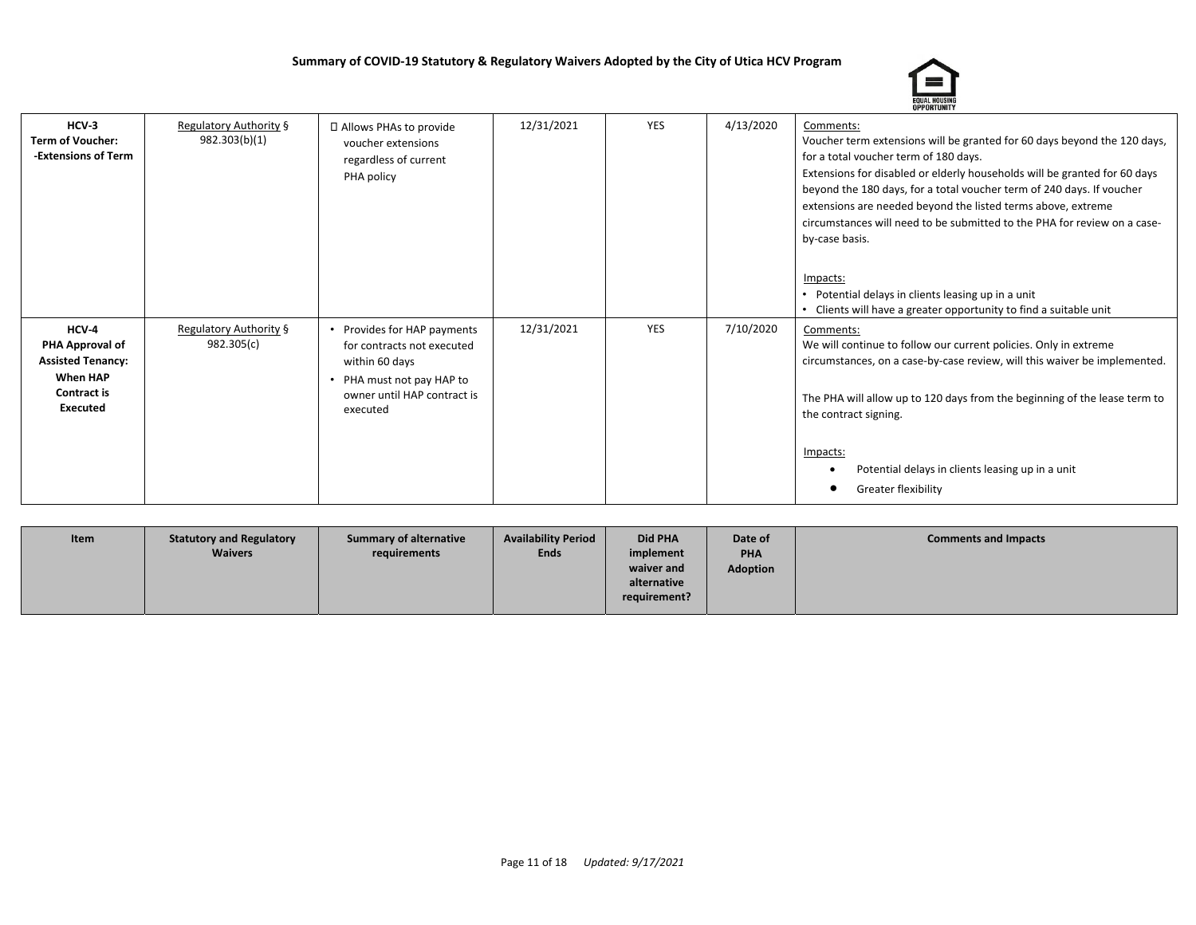

| $HCV-3$<br><b>Term of Voucher:</b><br>-Extensions of Term                                                 | <b>Regulatory Authority §</b><br>982.303(b)(1) | □ Allows PHAs to provide<br>voucher extensions<br>regardless of current<br>PHA policy                                                           | 12/31/2021 | <b>YES</b> | 4/13/2020 | Comments:<br>Voucher term extensions will be granted for 60 days beyond the 120 days,<br>for a total voucher term of 180 days.<br>Extensions for disabled or elderly households will be granted for 60 days<br>beyond the 180 days, for a total voucher term of 240 days. If voucher<br>extensions are needed beyond the listed terms above, extreme<br>circumstances will need to be submitted to the PHA for review on a case-<br>by-case basis.<br>Impacts:<br>Potential delays in clients leasing up in a unit<br>Clients will have a greater opportunity to find a suitable unit |
|-----------------------------------------------------------------------------------------------------------|------------------------------------------------|-------------------------------------------------------------------------------------------------------------------------------------------------|------------|------------|-----------|---------------------------------------------------------------------------------------------------------------------------------------------------------------------------------------------------------------------------------------------------------------------------------------------------------------------------------------------------------------------------------------------------------------------------------------------------------------------------------------------------------------------------------------------------------------------------------------|
| HCV-4<br>PHA Approval of<br><b>Assisted Tenancy:</b><br><b>When HAP</b><br>Contract is<br><b>Executed</b> | Regulatory Authority §<br>982.305(c)           | Provides for HAP payments<br>for contracts not executed<br>within 60 days<br>PHA must not pay HAP to<br>owner until HAP contract is<br>executed | 12/31/2021 | <b>YES</b> | 7/10/2020 | Comments:<br>We will continue to follow our current policies. Only in extreme<br>circumstances, on a case-by-case review, will this waiver be implemented.<br>The PHA will allow up to 120 days from the beginning of the lease term to<br>the contract signing.<br>Impacts:<br>Potential delays in clients leasing up in a unit<br>Greater flexibility<br>٠                                                                                                                                                                                                                          |

| <b>Waivers</b><br><b>Ends</b><br><b>PHA</b><br>implement<br>requirements<br>waiver and<br><b>Adoption</b><br>alternative<br>requirement? | Item | <b>Statutory and Regulatory</b> | <b>Summary of alternative</b> | <b>Availability Period</b> | <b>Did PHA</b> | Date of | <b>Comments and Impacts</b> |
|------------------------------------------------------------------------------------------------------------------------------------------|------|---------------------------------|-------------------------------|----------------------------|----------------|---------|-----------------------------|
|------------------------------------------------------------------------------------------------------------------------------------------|------|---------------------------------|-------------------------------|----------------------------|----------------|---------|-----------------------------|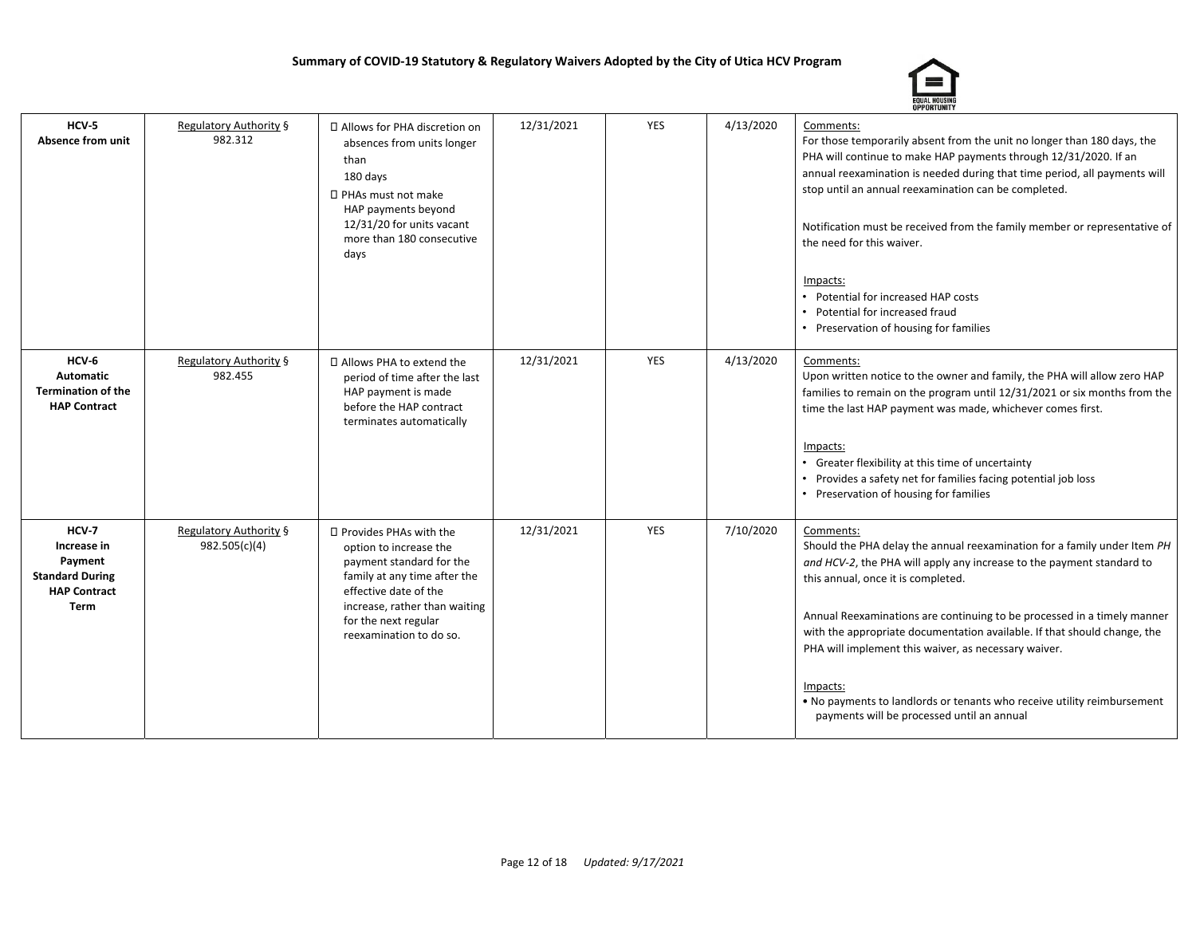

| HCV-5<br><b>Absence from unit</b>                                                               | <b>Regulatory Authority §</b><br>982.312       | □ Allows for PHA discretion on<br>absences from units longer<br>than<br>180 days<br>□ PHAs must not make<br>HAP payments beyond<br>12/31/20 for units vacant<br>more than 180 consecutive<br>days                           | 12/31/2021 | <b>YES</b> | 4/13/2020 | Comments:<br>For those temporarily absent from the unit no longer than 180 days, the<br>PHA will continue to make HAP payments through 12/31/2020. If an<br>annual reexamination is needed during that time period, all payments will<br>stop until an annual reexamination can be completed.<br>Notification must be received from the family member or representative of<br>the need for this waiver.<br>Impacts:<br>• Potential for increased HAP costs<br>Potential for increased fraud<br>• Preservation of housing for families                    |
|-------------------------------------------------------------------------------------------------|------------------------------------------------|-----------------------------------------------------------------------------------------------------------------------------------------------------------------------------------------------------------------------------|------------|------------|-----------|----------------------------------------------------------------------------------------------------------------------------------------------------------------------------------------------------------------------------------------------------------------------------------------------------------------------------------------------------------------------------------------------------------------------------------------------------------------------------------------------------------------------------------------------------------|
| HCV-6<br><b>Automatic</b><br><b>Termination of the</b><br><b>HAP Contract</b>                   | Regulatory Authority §<br>982.455              | □ Allows PHA to extend the<br>period of time after the last<br>HAP payment is made<br>before the HAP contract<br>terminates automatically                                                                                   | 12/31/2021 | <b>YES</b> | 4/13/2020 | Comments:<br>Upon written notice to the owner and family, the PHA will allow zero HAP<br>families to remain on the program until 12/31/2021 or six months from the<br>time the last HAP payment was made, whichever comes first.<br>Impacts:<br>Greater flexibility at this time of uncertainty<br>Provides a safety net for families facing potential job loss<br>• Preservation of housing for families                                                                                                                                                |
| HCV-7<br>Increase in<br>Payment<br><b>Standard During</b><br><b>HAP Contract</b><br><b>Term</b> | <b>Regulatory Authority §</b><br>982.505(c)(4) | □ Provides PHAs with the<br>option to increase the<br>payment standard for the<br>family at any time after the<br>effective date of the<br>increase, rather than waiting<br>for the next regular<br>reexamination to do so. | 12/31/2021 | <b>YES</b> | 7/10/2020 | Comments:<br>Should the PHA delay the annual reexamination for a family under Item PH<br>and HCV-2, the PHA will apply any increase to the payment standard to<br>this annual, once it is completed.<br>Annual Reexaminations are continuing to be processed in a timely manner<br>with the appropriate documentation available. If that should change, the<br>PHA will implement this waiver, as necessary waiver.<br>Impacts:<br>. No payments to landlords or tenants who receive utility reimbursement<br>payments will be processed until an annual |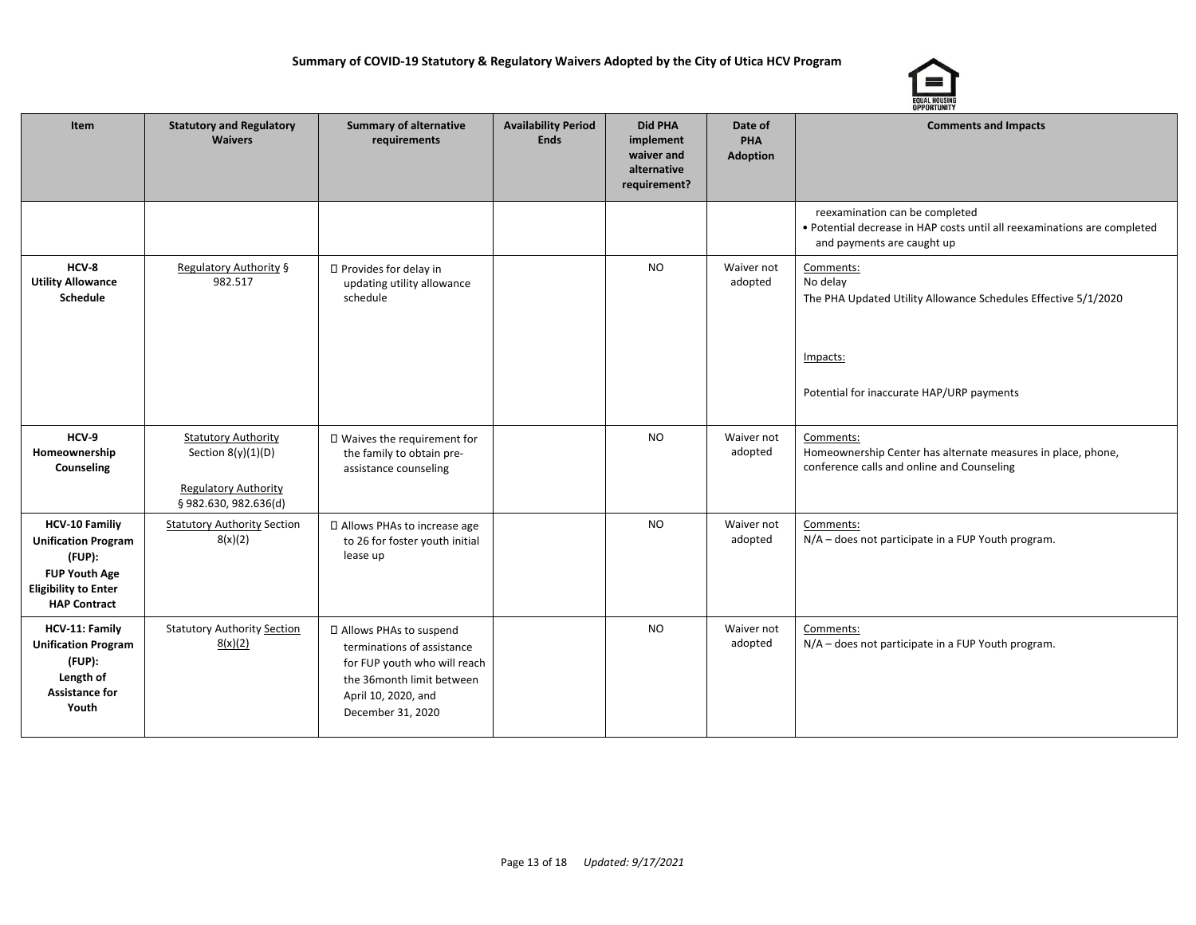

| Item                                                                                                                                        | <b>Statutory and Regulatory</b><br><b>Waivers</b>                                                         | <b>Summary of alternative</b><br>requirements                                                                                                                   | <b>Availability Period</b><br><b>Ends</b> | <b>Did PHA</b><br>implement<br>waiver and<br>alternative<br>requirement? | Date of<br>PHA<br><b>Adoption</b> | <b>Comments and Impacts</b>                                                                                                                      |
|---------------------------------------------------------------------------------------------------------------------------------------------|-----------------------------------------------------------------------------------------------------------|-----------------------------------------------------------------------------------------------------------------------------------------------------------------|-------------------------------------------|--------------------------------------------------------------------------|-----------------------------------|--------------------------------------------------------------------------------------------------------------------------------------------------|
|                                                                                                                                             |                                                                                                           |                                                                                                                                                                 |                                           |                                                                          |                                   | reexamination can be completed<br>• Potential decrease in HAP costs until all reexaminations are completed<br>and payments are caught up         |
| HCV-8<br><b>Utility Allowance</b><br>Schedule                                                                                               | Regulatory Authority §<br>982.517                                                                         | □ Provides for delay in<br>updating utility allowance<br>schedule                                                                                               |                                           | <b>NO</b>                                                                | Waiver not<br>adopted             | Comments:<br>No delay<br>The PHA Updated Utility Allowance Schedules Effective 5/1/2020<br>Impacts:<br>Potential for inaccurate HAP/URP payments |
| HCV-9<br>Homeownership<br>Counseling                                                                                                        | <b>Statutory Authority</b><br>Section $8(y)(1)(D)$<br><b>Regulatory Authority</b><br>§982.630, 982.636(d) | □ Waives the requirement for<br>the family to obtain pre-<br>assistance counseling                                                                              |                                           | <b>NO</b>                                                                | Waiver not<br>adopted             | Comments:<br>Homeownership Center has alternate measures in place, phone,<br>conference calls and online and Counseling                          |
| <b>HCV-10 Familiy</b><br><b>Unification Program</b><br>(FUP):<br><b>FUP Youth Age</b><br><b>Eligibility to Enter</b><br><b>HAP Contract</b> | <b>Statutory Authority Section</b><br>8(x)(2)                                                             | □ Allows PHAs to increase age<br>to 26 for foster youth initial<br>lease up                                                                                     |                                           | <b>NO</b>                                                                | Waiver not<br>adopted             | Comments:<br>N/A - does not participate in a FUP Youth program.                                                                                  |
| HCV-11: Family<br><b>Unification Program</b><br>(FUP):<br>Length of<br><b>Assistance for</b><br>Youth                                       | <b>Statutory Authority Section</b><br>8(x)(2)                                                             | □ Allows PHAs to suspend<br>terminations of assistance<br>for FUP youth who will reach<br>the 36month limit between<br>April 10, 2020, and<br>December 31, 2020 |                                           | <b>NO</b>                                                                | Waiver not<br>adopted             | Comments:<br>N/A - does not participate in a FUP Youth program.                                                                                  |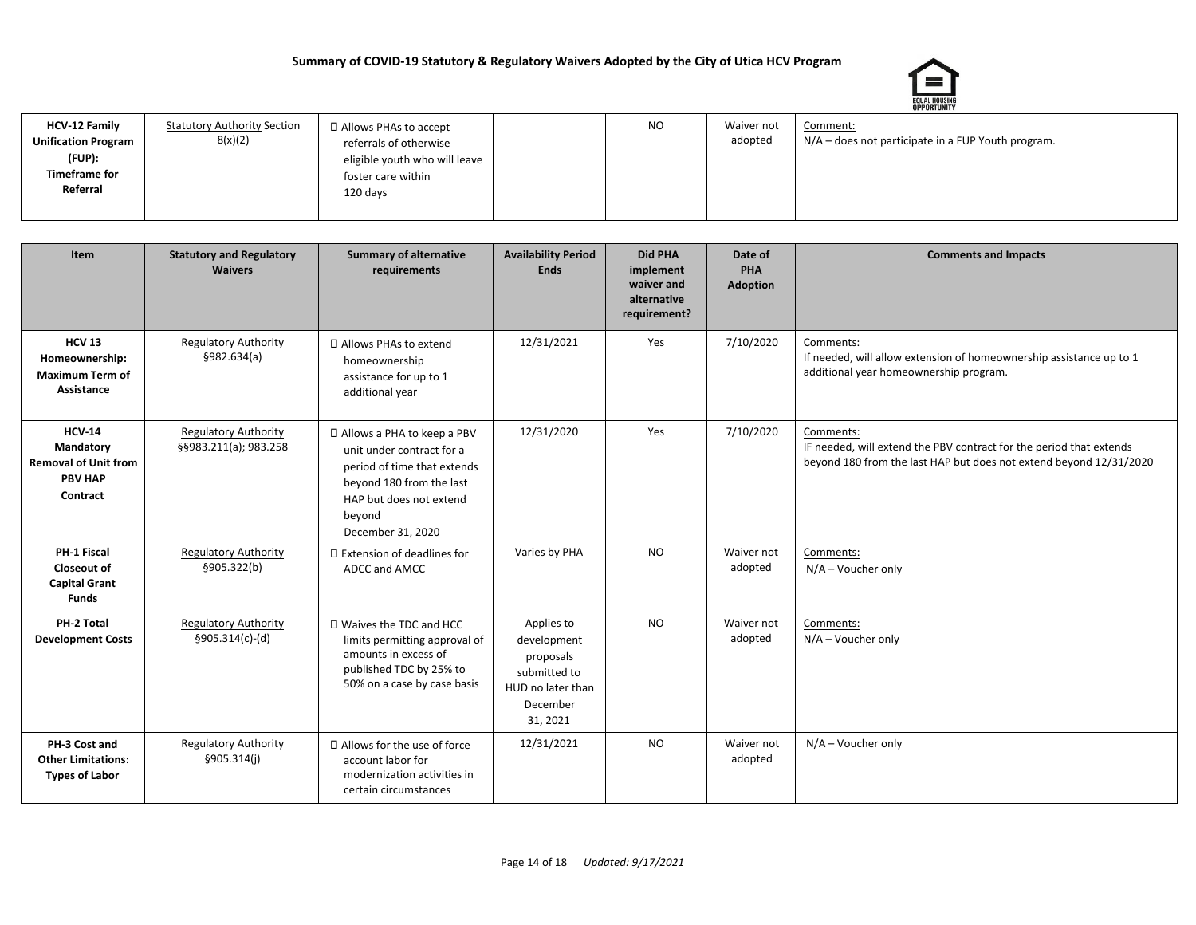

| <b>HCV-12 Family</b>       | <b>Statutory Authority Section</b> | □ Allows PHAs to accept       | <b>NO</b> | Waiver not | Comment:                                           |
|----------------------------|------------------------------------|-------------------------------|-----------|------------|----------------------------------------------------|
| <b>Unification Program</b> | 8(x)(2)                            | referrals of otherwise        |           | adopted    | N/A – does not participate in a FUP Youth program. |
| (FUP):                     |                                    | eligible youth who will leave |           |            |                                                    |
| <b>Timeframe for</b>       |                                    | foster care within            |           |            |                                                    |
| Referral                   |                                    | 120 days                      |           |            |                                                    |
|                            |                                    |                               |           |            |                                                    |
|                            |                                    |                               |           |            |                                                    |

| Item                                                                                    | <b>Statutory and Regulatory</b><br><b>Waivers</b>    | <b>Summary of alternative</b><br>requirements                                                                                                                                  | <b>Availability Period</b><br><b>Ends</b>                                                           | <b>Did PHA</b><br>implement<br>waiver and<br>alternative<br>requirement? | Date of<br>PHA<br><b>Adoption</b> | <b>Comments and Impacts</b>                                                                                                                            |
|-----------------------------------------------------------------------------------------|------------------------------------------------------|--------------------------------------------------------------------------------------------------------------------------------------------------------------------------------|-----------------------------------------------------------------------------------------------------|--------------------------------------------------------------------------|-----------------------------------|--------------------------------------------------------------------------------------------------------------------------------------------------------|
| <b>HCV 13</b><br>Homeownership:<br><b>Maximum Term of</b><br>Assistance                 | <b>Regulatory Authority</b><br>\$982.634(a)          | □ Allows PHAs to extend<br>homeownership<br>assistance for up to 1<br>additional year                                                                                          | 12/31/2021                                                                                          | Yes                                                                      | 7/10/2020                         | Comments:<br>If needed, will allow extension of homeownership assistance up to 1<br>additional year homeownership program.                             |
| <b>HCV-14</b><br>Mandatory<br><b>Removal of Unit from</b><br><b>PBV HAP</b><br>Contract | <b>Regulatory Authority</b><br>§§983.211(a); 983.258 | □ Allows a PHA to keep a PBV<br>unit under contract for a<br>period of time that extends<br>beyond 180 from the last<br>HAP but does not extend<br>beyond<br>December 31, 2020 | 12/31/2020                                                                                          | Yes                                                                      | 7/10/2020                         | Comments:<br>IF needed, will extend the PBV contract for the period that extends<br>beyond 180 from the last HAP but does not extend beyond 12/31/2020 |
| PH-1 Fiscal<br><b>Closeout of</b><br><b>Capital Grant</b><br><b>Funds</b>               | <b>Regulatory Authority</b><br>§905.322(b)           | $\Box$ Extension of deadlines for<br>ADCC and AMCC                                                                                                                             | Varies by PHA                                                                                       | <b>NO</b>                                                                | Waiver not<br>adopted             | Comments:<br>$N/A - V$ oucher only                                                                                                                     |
| PH-2 Total<br><b>Development Costs</b>                                                  | <b>Regulatory Authority</b><br>§905.314(c)-(d)       | □ Waives the TDC and HCC<br>limits permitting approval of<br>amounts in excess of<br>published TDC by 25% to<br>50% on a case by case basis                                    | Applies to<br>development<br>proposals<br>submitted to<br>HUD no later than<br>December<br>31, 2021 | <b>NO</b>                                                                | Waiver not<br>adopted             | Comments:<br>N/A - Voucher only                                                                                                                        |
| PH-3 Cost and<br><b>Other Limitations:</b><br><b>Types of Labor</b>                     | <b>Regulatory Authority</b><br>\$905.314(i)          | □ Allows for the use of force<br>account labor for<br>modernization activities in<br>certain circumstances                                                                     | 12/31/2021                                                                                          | <b>NO</b>                                                                | Waiver not<br>adopted             | $N/A - V$ oucher only                                                                                                                                  |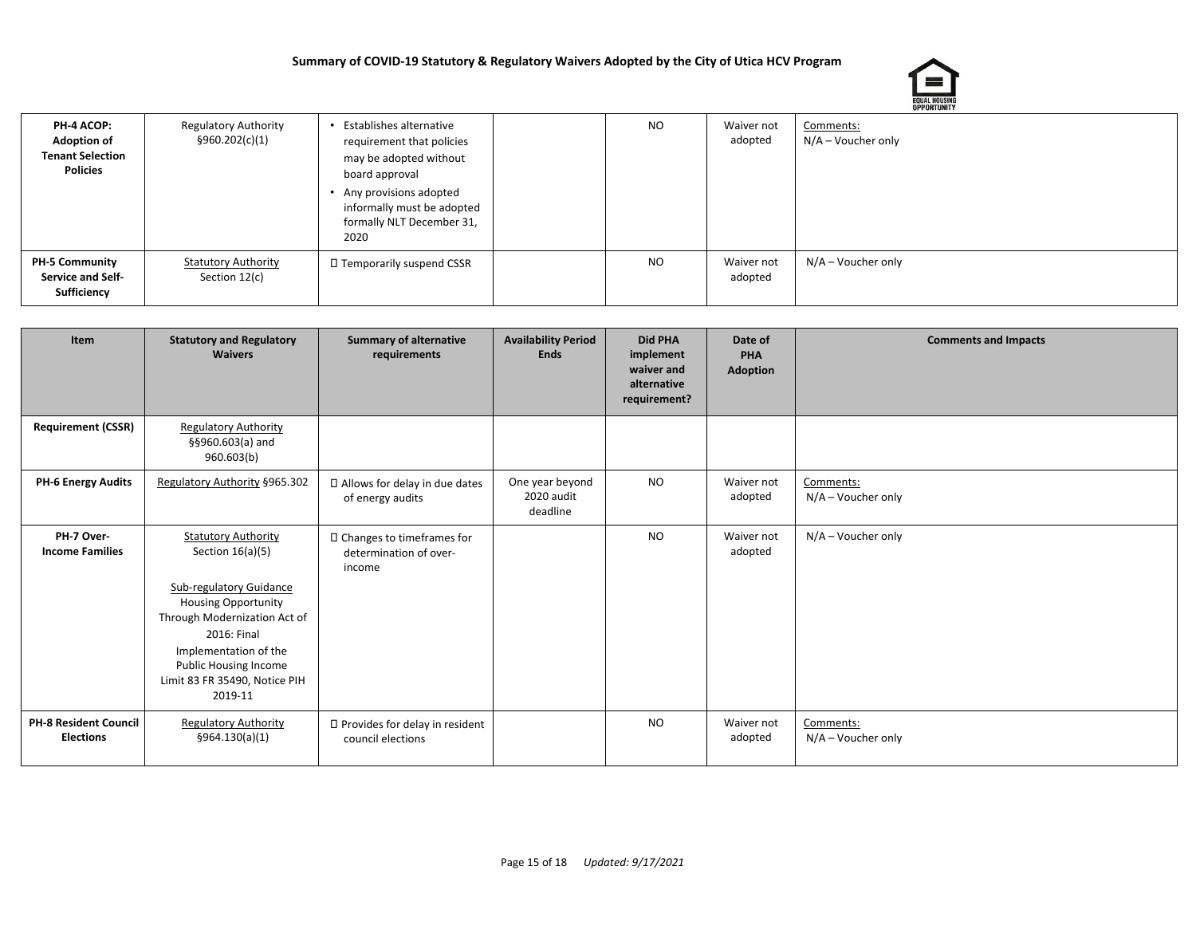

| PH-4 ACOP:<br><b>Adoption of</b><br><b>Tenant Selection</b><br>Policies | <b>Regulatory Authority</b><br>§960.202(c)(1) | Establishes alternative<br>requirement that policies<br>may be adopted without<br>board approval<br>Any provisions adopted<br>informally must be adopted<br>formally NLT December 31,<br>2020 | NO.       | Waiver not<br>adopted | Comments:<br>$N/A - V$ oucher only |
|-------------------------------------------------------------------------|-----------------------------------------------|-----------------------------------------------------------------------------------------------------------------------------------------------------------------------------------------------|-----------|-----------------------|------------------------------------|
| <b>PH-5 Community</b><br><b>Service and Self-</b><br>Sufficiency        | <b>Statutory Authority</b><br>Section 12(c)   | □ Temporarily suspend CSSR                                                                                                                                                                    | <b>NO</b> | Waiver not<br>adopted | N/A – Voucher only                 |

| Item                                             | <b>Statutory and Regulatory</b><br><b>Waivers</b>                                                                                                                                                                                                             | <b>Summary of alternative</b><br>requirements                   | <b>Availability Period</b><br><b>Ends</b> | <b>Did PHA</b><br>implement<br>waiver and<br>alternative<br>requirement? | Date of<br>PHA<br><b>Adoption</b> | <b>Comments and Impacts</b>     |
|--------------------------------------------------|---------------------------------------------------------------------------------------------------------------------------------------------------------------------------------------------------------------------------------------------------------------|-----------------------------------------------------------------|-------------------------------------------|--------------------------------------------------------------------------|-----------------------------------|---------------------------------|
| <b>Requirement (CSSR)</b>                        | <b>Regulatory Authority</b><br>§§960.603(a) and<br>960.603(b)                                                                                                                                                                                                 |                                                                 |                                           |                                                                          |                                   |                                 |
| <b>PH-6 Energy Audits</b>                        | Regulatory Authority §965.302                                                                                                                                                                                                                                 | □ Allows for delay in due dates<br>of energy audits             | One year beyond<br>2020 audit<br>deadline | <b>NO</b>                                                                | Waiver not<br>adopted             | Comments:<br>N/A - Voucher only |
| PH-7 Over-<br><b>Income Families</b>             | <b>Statutory Authority</b><br>Section $16(a)(5)$<br>Sub-regulatory Guidance<br><b>Housing Opportunity</b><br>Through Modernization Act of<br>2016: Final<br>Implementation of the<br><b>Public Housing Income</b><br>Limit 83 FR 35490, Notice PIH<br>2019-11 | □ Changes to timeframes for<br>determination of over-<br>income |                                           | <b>NO</b>                                                                | Waiver not<br>adopted             | $N/A - V$ oucher only           |
| <b>PH-8 Resident Council</b><br><b>Elections</b> | <b>Regulatory Authority</b><br>§964.130(a)(1)                                                                                                                                                                                                                 | □ Provides for delay in resident<br>council elections           |                                           | NO.                                                                      | Waiver not<br>adopted             | Comments:<br>N/A - Voucher only |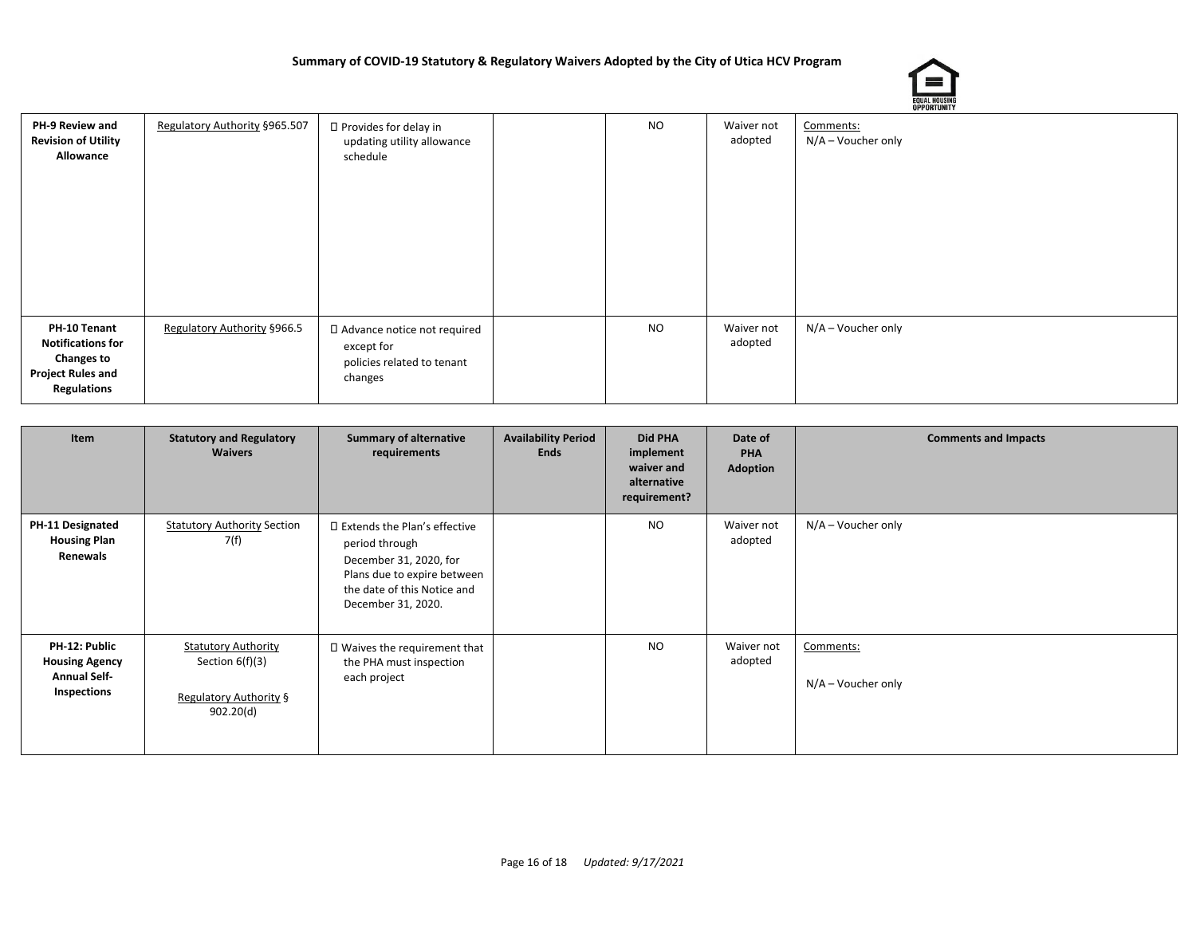

|                                                                                                                 |                               |                                                                                      |     |                       | ----------                      |
|-----------------------------------------------------------------------------------------------------------------|-------------------------------|--------------------------------------------------------------------------------------|-----|-----------------------|---------------------------------|
| PH-9 Review and<br><b>Revision of Utility</b><br>Allowance                                                      | Regulatory Authority §965.507 | □ Provides for delay in<br>updating utility allowance<br>schedule                    | NO. | Waiver not<br>adopted | Comments:<br>N/A - Voucher only |
| PH-10 Tenant<br><b>Notifications for</b><br><b>Changes to</b><br><b>Project Rules and</b><br><b>Regulations</b> | Regulatory Authority §966.5   | □ Advance notice not required<br>except for<br>policies related to tenant<br>changes | NO. | Waiver not<br>adopted | N/A - Voucher only              |

| Item                                                                         | <b>Statutory and Regulatory</b><br><b>Waivers</b>                                      | <b>Summary of alternative</b><br>requirements                                                                                                                  | <b>Availability Period</b><br><b>Ends</b> | <b>Did PHA</b><br>implement<br>waiver and<br>alternative<br>requirement? | Date of<br>PHA<br>Adoption | <b>Comments and Impacts</b>        |
|------------------------------------------------------------------------------|----------------------------------------------------------------------------------------|----------------------------------------------------------------------------------------------------------------------------------------------------------------|-------------------------------------------|--------------------------------------------------------------------------|----------------------------|------------------------------------|
| PH-11 Designated<br><b>Housing Plan</b><br>Renewals                          | <b>Statutory Authority Section</b><br>7(f)                                             | □ Extends the Plan's effective<br>period through<br>December 31, 2020, for<br>Plans due to expire between<br>the date of this Notice and<br>December 31, 2020. |                                           | NO.                                                                      | Waiver not<br>adopted      | $N/A - V$ oucher only              |
| PH-12: Public<br><b>Housing Agency</b><br><b>Annual Self-</b><br>Inspections | <b>Statutory Authority</b><br>Section $6(f)(3)$<br>Regulatory Authority §<br>902.20(d) | $\square$ Waives the requirement that<br>the PHA must inspection<br>each project                                                                               |                                           | NO.                                                                      | Waiver not<br>adopted      | Comments:<br>$N/A - V$ oucher only |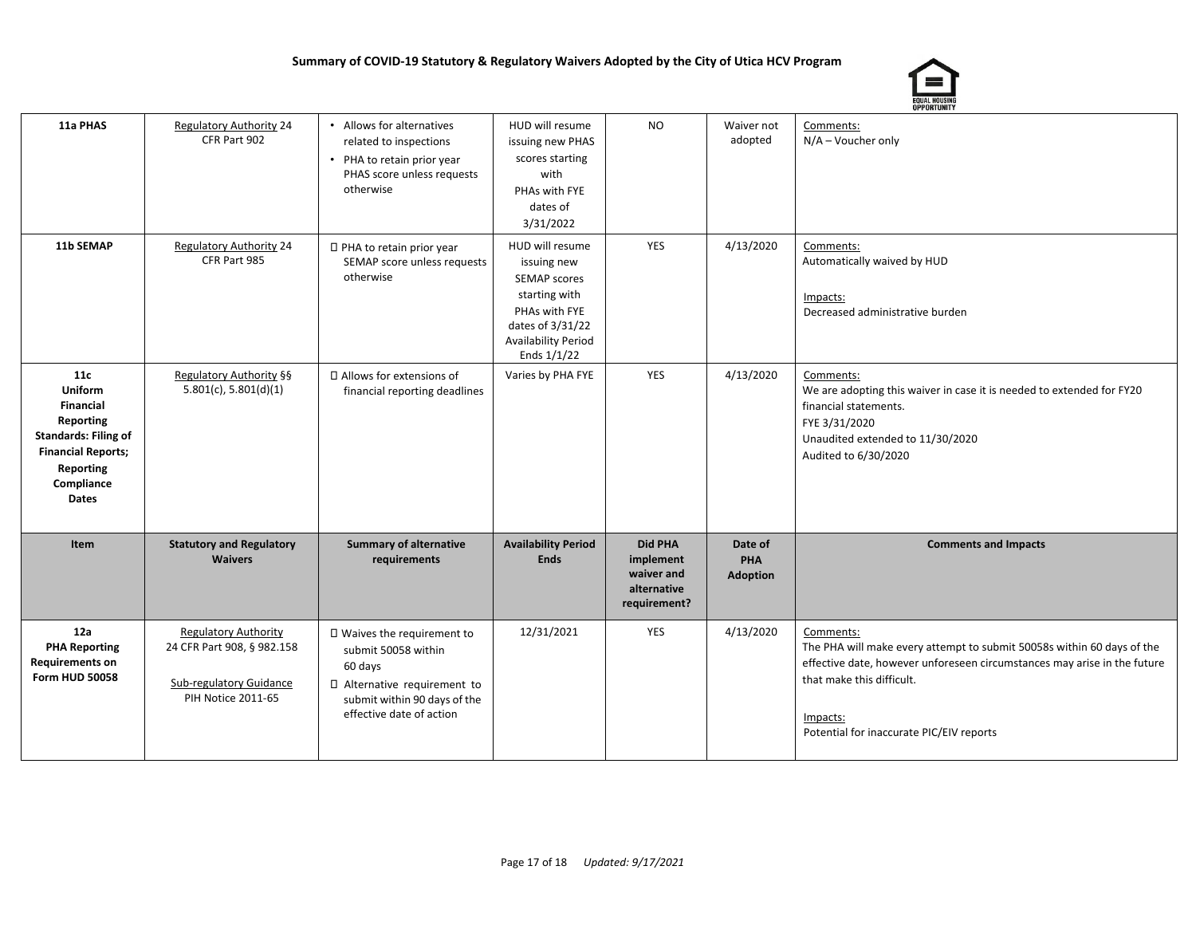

| 11a PHAS                                                                                                                                               | <b>Regulatory Authority 24</b><br>CFR Part 902                                                                    | • Allows for alternatives<br>related to inspections<br>• PHA to retain prior year<br>PHAS score unless requests<br>otherwise                              | HUD will resume<br>issuing new PHAS<br>scores starting<br>with<br>PHAs with FYE<br>dates of<br>3/31/2022                                                   | NO                                                                       | Waiver not<br>adopted             | Comments:<br>N/A - Voucher only                                                                                                                                                                                                                      |
|--------------------------------------------------------------------------------------------------------------------------------------------------------|-------------------------------------------------------------------------------------------------------------------|-----------------------------------------------------------------------------------------------------------------------------------------------------------|------------------------------------------------------------------------------------------------------------------------------------------------------------|--------------------------------------------------------------------------|-----------------------------------|------------------------------------------------------------------------------------------------------------------------------------------------------------------------------------------------------------------------------------------------------|
| 11b SEMAP                                                                                                                                              | <b>Regulatory Authority 24</b><br>CFR Part 985                                                                    | □ PHA to retain prior year<br>SEMAP score unless requests<br>otherwise                                                                                    | HUD will resume<br>issuing new<br><b>SEMAP scores</b><br>starting with<br>PHAs with FYE<br>dates of 3/31/22<br><b>Availability Period</b><br>Ends $1/1/22$ | <b>YES</b>                                                               | 4/13/2020                         | Comments:<br>Automatically waived by HUD<br>Impacts:<br>Decreased administrative burden                                                                                                                                                              |
| 11c<br><b>Uniform</b><br>Financial<br>Reporting<br><b>Standards: Filing of</b><br><b>Financial Reports;</b><br>Reporting<br>Compliance<br><b>Dates</b> | Regulatory Authority §§<br>5.801(c), 5.801(d)(1)                                                                  | □ Allows for extensions of<br>financial reporting deadlines                                                                                               | Varies by PHA FYE                                                                                                                                          | <b>YES</b>                                                               | 4/13/2020                         | Comments:<br>We are adopting this waiver in case it is needed to extended for FY20<br>financial statements.<br>FYE 3/31/2020<br>Unaudited extended to 11/30/2020<br>Audited to 6/30/2020                                                             |
| Item                                                                                                                                                   | <b>Statutory and Regulatory</b><br><b>Waivers</b>                                                                 | <b>Summary of alternative</b><br>requirements                                                                                                             | <b>Availability Period</b><br><b>Ends</b>                                                                                                                  | <b>Did PHA</b><br>implement<br>waiver and<br>alternative<br>requirement? | Date of<br>PHA<br><b>Adoption</b> | <b>Comments and Impacts</b>                                                                                                                                                                                                                          |
| 12a<br><b>PHA Reporting</b><br><b>Requirements on</b><br><b>Form HUD 50058</b>                                                                         | <b>Regulatory Authority</b><br>24 CFR Part 908, § 982.158<br><b>Sub-regulatory Guidance</b><br>PIH Notice 2011-65 | □ Waives the requirement to<br>submit 50058 within<br>60 days<br>□ Alternative requirement to<br>submit within 90 days of the<br>effective date of action | 12/31/2021                                                                                                                                                 | YES                                                                      | 4/13/2020                         | Comments:<br>The PHA will make every attempt to submit 50058s within 60 days of the<br>effective date, however unforeseen circumstances may arise in the future<br>that make this difficult.<br>Impacts:<br>Potential for inaccurate PIC/EIV reports |